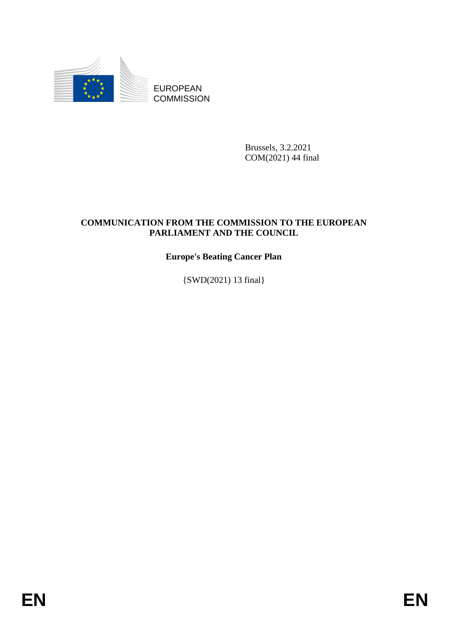

Brussels, 3.2.2021 COM(2021) 44 final

# EUROPEAN<br>
EUROPEAN<br>
ENERGY COMMISSION<br>
ENERGY PROM THE COMMISSION TO THE EUROPEAN<br>
PAREAMENT AND THE COUNTRY.<br>
PAREAMENT AND THE COUNCIL<br>
EUROPEAN<br>
EUROPEAN<br>
(SWD(2021) 1.8 final]<br>
<br> **ENERGY PROMESSION**<br>
ENERGY PROMESSION **COMMUNICATION FROM THE COMMISSION TO THE EUROPEAN PARLIAMENT AND THE COUNCIL**

# **Europe's Beating Cancer Plan**

{SWD(2021) 13 final}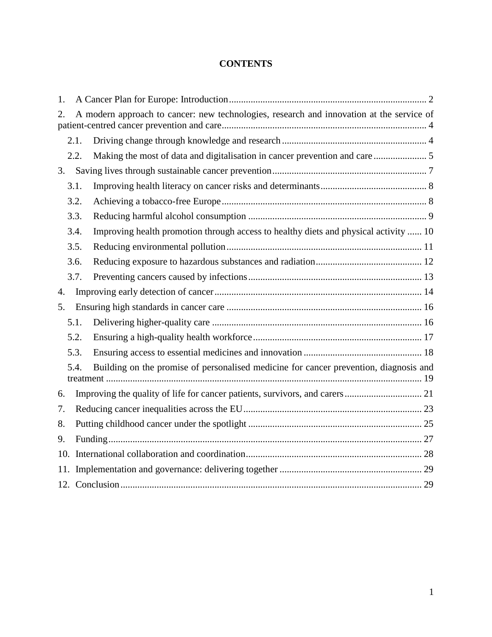# **CONTENTS**

| 1.                                                                                             |      |                                                                                      |
|------------------------------------------------------------------------------------------------|------|--------------------------------------------------------------------------------------|
| A modern approach to cancer: new technologies, research and innovation at the service of<br>2. |      |                                                                                      |
|                                                                                                | 2.1. |                                                                                      |
|                                                                                                | 2.2. |                                                                                      |
| 3.                                                                                             |      |                                                                                      |
|                                                                                                | 3.1. |                                                                                      |
|                                                                                                | 3.2. |                                                                                      |
|                                                                                                | 3.3. |                                                                                      |
|                                                                                                | 3.4. | Improving health promotion through access to healthy diets and physical activity  10 |
|                                                                                                | 3.5. |                                                                                      |
|                                                                                                | 3.6. |                                                                                      |
|                                                                                                | 3.7. |                                                                                      |
| 4.                                                                                             |      |                                                                                      |
| 5.                                                                                             |      |                                                                                      |
|                                                                                                | 5.1. |                                                                                      |
|                                                                                                | 5.2. |                                                                                      |
|                                                                                                | 5.3. |                                                                                      |
| Building on the promise of personalised medicine for cancer prevention, diagnosis and<br>5.4.  |      |                                                                                      |
| 6.                                                                                             |      |                                                                                      |
| 7.                                                                                             |      |                                                                                      |
| 8.                                                                                             |      |                                                                                      |
| 9.                                                                                             |      |                                                                                      |
| 10.                                                                                            |      |                                                                                      |
|                                                                                                |      |                                                                                      |
|                                                                                                |      |                                                                                      |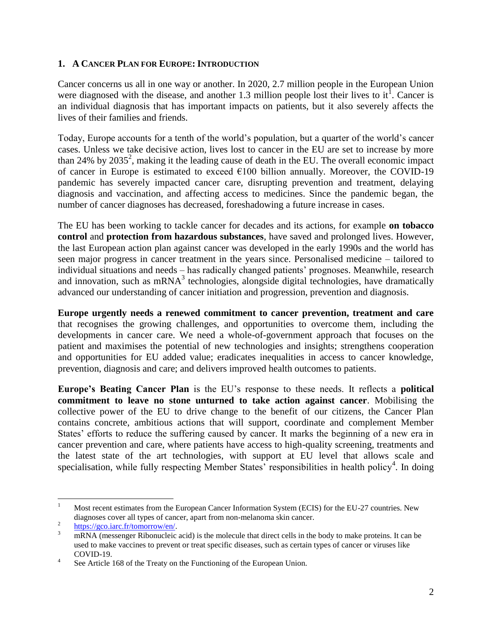### <span id="page-2-0"></span>**1. A CANCER PLAN FOR EUROPE: INTRODUCTION**

Cancer concerns us all in one way or another. In 2020, 2.7 million people in the European Union were diagnosed with the disease, and another 1.3 million people lost their lives to it<sup>1</sup>. Cancer is an individual diagnosis that has important impacts on patients, but it also severely affects the lives of their families and friends.

Today, Europe accounts for a tenth of the world's population, but a quarter of the world's cancer cases. Unless we take decisive action, lives lost to cancer in the EU are set to increase by more than 24% by 2035<sup>2</sup>, making it the leading cause of death in the EU. The overall economic impact of cancer in Europe is estimated to exceed  $\epsilon$ 100 billion annually. Moreover, the COVID-19 pandemic has severely impacted cancer care, disrupting prevention and treatment, delaying diagnosis and vaccination, and affecting access to medicines. Since the pandemic began, the number of cancer diagnoses has decreased, foreshadowing a future increase in cases.

The EU has been working to tackle cancer for decades and its actions, for example **on tobacco control** and **protection from hazardous substances**, have saved and prolonged lives. However, the last European action plan against cancer was developed in the early 1990s and the world has seen major progress in cancer treatment in the years since. Personalised medicine – tailored to individual situations and needs – has radically changed patients' prognoses. Meanwhile, research and innovation, such as  $mRNA<sup>3</sup>$  technologies, alongside digital technologies, have dramatically advanced our understanding of cancer initiation and progression, prevention and diagnosis.

**Europe urgently needs a renewed commitment to cancer prevention, treatment and care** that recognises the growing challenges, and opportunities to overcome them, including the developments in cancer care. We need a whole-of-government approach that focuses on the patient and maximises the potential of new technologies and insights; strengthens cooperation and opportunities for EU added value; eradicates inequalities in access to cancer knowledge, prevention, diagnosis and care; and delivers improved health outcomes to patients.

**Europe's Beating Cancer Plan** is the EU's response to these needs. It reflects a **political commitment to leave no stone unturned to take action against cancer**. Mobilising the collective power of the EU to drive change to the benefit of our citizens, the Cancer Plan contains concrete, ambitious actions that will support, coordinate and complement Member States' efforts to reduce the suffering caused by cancer. It marks the beginning of a new era in cancer prevention and care, where patients have access to high-quality screening, treatments and the latest state of the art technologies, with support at EU level that allows scale and specialisation, while fully respecting Member States' responsibilities in health policy<sup>4</sup>. In doing

 $\mathbf{1}$ <sup>1</sup> Most recent estimates from the European Cancer Information System (ECIS) for the EU-27 countries. New diagnoses cover all types of cancer, apart from non-melanoma skin cancer.

 $\mathfrak{D}$ [https://gco.iarc.fr/tomorrow/en/.](https://gco.iarc.fr/tomorrow/en/)

<sup>&</sup>lt;sup>3</sup> mRNA (messenger Ribonucleic acid) is the molecule that direct cells in the body to make proteins. It can be used to make vaccines to prevent or treat specific diseases, such as certain types of cancer or viruses like COVID-19.

<sup>4</sup> See Article 168 of the Treaty on the Functioning of the European Union.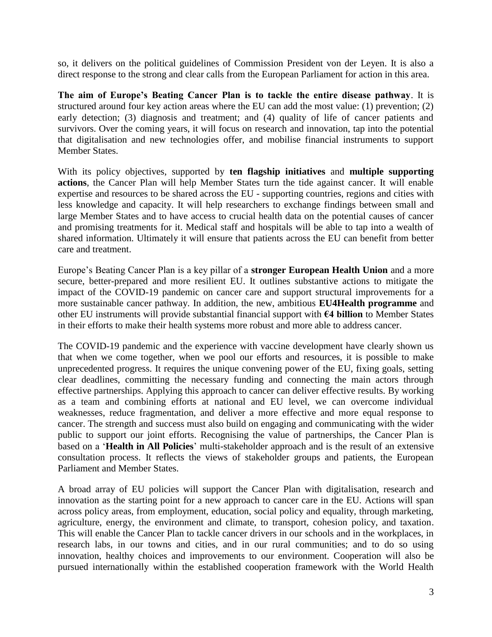so, it delivers on the political guidelines of Commission President von der Leyen. It is also a direct response to the strong and clear calls from the European Parliament for action in this area.

**The aim of Europe's Beating Cancer Plan is to tackle the entire disease pathway**. It is structured around four key action areas where the EU can add the most value: (1) prevention; (2) early detection; (3) diagnosis and treatment; and (4) quality of life of cancer patients and survivors. Over the coming years, it will focus on research and innovation, tap into the potential that digitalisation and new technologies offer, and mobilise financial instruments to support Member States.

With its policy objectives, supported by **ten flagship initiatives** and **multiple supporting actions**, the Cancer Plan will help Member States turn the tide against cancer. It will enable expertise and resources to be shared across the EU - supporting countries, regions and cities with less knowledge and capacity. It will help researchers to exchange findings between small and large Member States and to have access to crucial health data on the potential causes of cancer and promising treatments for it. Medical staff and hospitals will be able to tap into a wealth of shared information. Ultimately it will ensure that patients across the EU can benefit from better care and treatment.

Europe's Beating Cancer Plan is a key pillar of a **stronger European Health Union** and a more secure, better-prepared and more resilient EU. It outlines substantive actions to mitigate the impact of the COVID-19 pandemic on cancer care and support structural improvements for a more sustainable cancer pathway. In addition, the new, ambitious **EU4Health programme** and other EU instruments will provide substantial financial support with **€4 billion** to Member States in their efforts to make their health systems more robust and more able to address cancer.

The COVID-19 pandemic and the experience with vaccine development have clearly shown us that when we come together, when we pool our efforts and resources, it is possible to make unprecedented progress. It requires the unique convening power of the EU, fixing goals, setting clear deadlines, committing the necessary funding and connecting the main actors through effective partnerships. Applying this approach to cancer can deliver effective results. By working as a team and combining efforts at national and EU level, we can overcome individual weaknesses, reduce fragmentation, and deliver a more effective and more equal response to cancer. The strength and success must also build on engaging and communicating with the wider public to support our joint efforts. Recognising the value of partnerships, the Cancer Plan is based on a '**Health in All Policies**' multi-stakeholder approach and is the result of an extensive consultation process. It reflects the views of stakeholder groups and patients, the European Parliament and Member States.

A broad array of EU policies will support the Cancer Plan with digitalisation, research and innovation as the starting point for a new approach to cancer care in the EU. Actions will span across policy areas, from employment, education, social policy and equality, through marketing, agriculture, energy, the environment and climate, to transport, cohesion policy, and taxation. This will enable the Cancer Plan to tackle cancer drivers in our schools and in the workplaces, in research labs, in our towns and cities, and in our rural communities; and to do so using innovation, healthy choices and improvements to our environment. Cooperation will also be pursued internationally within the established cooperation framework with the World Health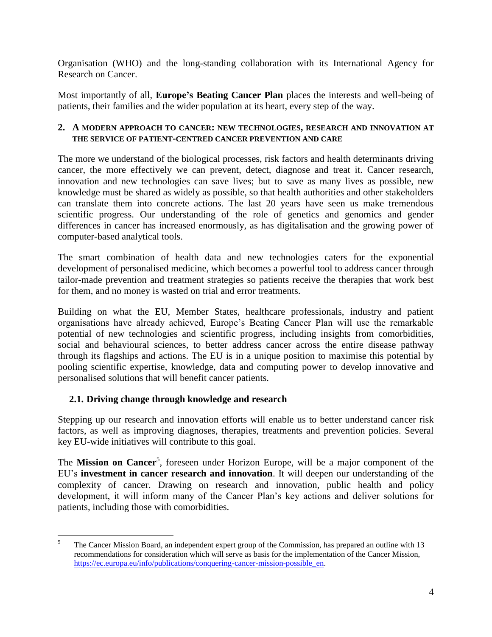Organisation (WHO) and the long-standing collaboration with its International Agency for Research on Cancer.

Most importantly of all, **Europe's Beating Cancer Plan** places the interests and well-being of patients, their families and the wider population at its heart, every step of the way.

### <span id="page-4-0"></span>**2. A MODERN APPROACH TO CANCER: NEW TECHNOLOGIES, RESEARCH AND INNOVATION AT THE SERVICE OF PATIENT-CENTRED CANCER PREVENTION AND CARE**

The more we understand of the biological processes, risk factors and health determinants driving cancer, the more effectively we can prevent, detect, diagnose and treat it. Cancer research, innovation and new technologies can save lives; but to save as many lives as possible, new knowledge must be shared as widely as possible, so that health authorities and other stakeholders can translate them into concrete actions. The last 20 years have seen us make tremendous scientific progress. Our understanding of the role of genetics and genomics and gender differences in cancer has increased enormously, as has digitalisation and the growing power of computer-based analytical tools.

The smart combination of health data and new technologies caters for the exponential development of personalised medicine, which becomes a powerful tool to address cancer through tailor-made prevention and treatment strategies so patients receive the therapies that work best for them, and no money is wasted on trial and error treatments.

Building on what the EU, Member States, healthcare professionals, industry and patient organisations have already achieved, Europe's Beating Cancer Plan will use the remarkable potential of new technologies and scientific progress, including insights from comorbidities, social and behavioural sciences, to better address cancer across the entire disease pathway through its flagships and actions. The EU is in a unique position to maximise this potential by pooling scientific expertise, knowledge, data and computing power to develop innovative and personalised solutions that will benefit cancer patients.

# <span id="page-4-1"></span>**2.1. Driving change through knowledge and research**

Stepping up our research and innovation efforts will enable us to better understand cancer risk factors, as well as improving diagnoses, therapies, treatments and prevention policies. Several key EU-wide initiatives will contribute to this goal.

The Mission on Cancer<sup>5</sup>, foreseen under Horizon Europe, will be a major component of the EU's **investment in cancer research and innovation**. It will deepen our understanding of the complexity of cancer. Drawing on research and innovation, public health and policy development, it will inform many of the Cancer Plan's key actions and deliver solutions for patients, including those with comorbidities.

<sup>5</sup> <sup>5</sup> The Cancer Mission Board, an independent expert group of the Commission, has prepared an outline with 13 recommendations for consideration which will serve as basis for the implementation of the Cancer Mission, [https://ec.europa.eu/info/publications/conquering-cancer-mission-possible\\_en.](https://ec.europa.eu/info/publications/conquering-cancer-mission-possible_en)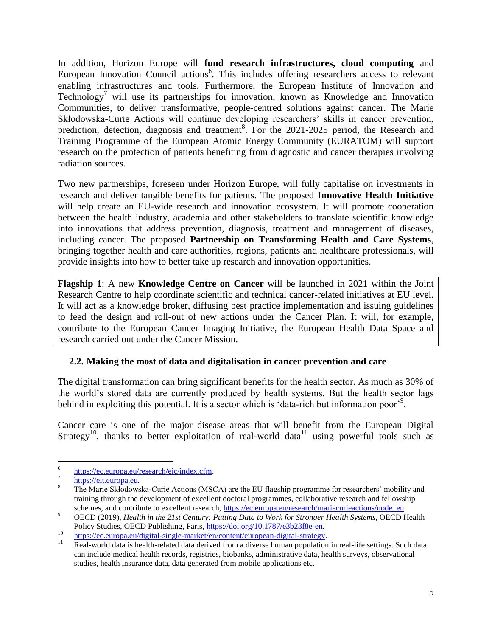In addition, Horizon Europe will **fund research infrastructures, cloud computing** and European Innovation Council actions<sup>6</sup>. This includes offering researchers access to relevant enabling infrastructures and tools. Furthermore, the European Institute of Innovation and Technology<sup>7</sup> will use its partnerships for innovation, known as Knowledge and Innovation Communities, to deliver transformative, people-centred solutions against cancer. The Marie Skłodowska-Curie Actions will continue developing researchers' skills in cancer prevention, prediction, detection, diagnosis and treatment<sup>8</sup>. For the 2021-2025 period, the Research and Training Programme of the European Atomic Energy Community (EURATOM) will support research on the protection of patients benefiting from diagnostic and cancer therapies involving radiation sources.

Two new partnerships, foreseen under Horizon Europe, will fully capitalise on investments in research and deliver tangible benefits for patients. The proposed **Innovative Health Initiative** will help create an EU-wide research and innovation ecosystem. It will promote cooperation between the health industry, academia and other stakeholders to translate scientific knowledge into innovations that address prevention, diagnosis, treatment and management of diseases, including cancer. The proposed **Partnership on Transforming Health and Care Systems**, bringing together health and care authorities, regions, patients and healthcare professionals, will provide insights into how to better take up research and innovation opportunities.

**Flagship 1**: A new **Knowledge Centre on Cancer** will be launched in 2021 within the Joint Research Centre to help coordinate scientific and technical cancer-related initiatives at EU level. It will act as a knowledge broker, diffusing best practice implementation and issuing guidelines to feed the design and roll-out of new actions under the Cancer Plan. It will, for example, contribute to the European Cancer Imaging Initiative, the European Health Data Space and research carried out under the Cancer Mission.

### <span id="page-5-0"></span>**2.2. Making the most of data and digitalisation in cancer prevention and care**

The digital transformation can bring significant benefits for the health sector. As much as 30% of the world's stored data are currently produced by health systems. But the health sector lags behind in exploiting this potential. It is a sector which is 'data-rich but information poor'<sup>9</sup>.

Cancer care is one of the major disease areas that will benefit from the European Digital Strategy<sup>10</sup>, thanks to better exploitation of real-world data<sup>11</sup> using powerful tools such as

 $\frac{1}{6}$ [https://ec.europa.eu/research/eic/index.cfm.](https://ec.europa.eu/research/eic/index.cfm)

<sup>7</sup> [https://eit.europa.eu.](https://eit.europa.eu/)

<sup>&</sup>lt;sup>8</sup> The Marie Skłodowska-Curie Actions (MSCA) are the EU flagship programme for researchers' mobility and training through the development of excellent doctoral programmes, collaborative research and fellowship schemes, and contribute to excellent research, [https://ec.europa.eu/research/mariecurieactions/node\\_en.](https://ec.europa.eu/research/mariecurieactions/node_en)

<sup>9</sup> OECD (2019), *Health in the 21st Century: Putting Data to Work for Stronger Health Systems*, OECD Health Policy Studies, OECD Publishing, Paris, [https://doi.org/10.1787/e3b23f8e-en.](https://doi.org/10.1787/e3b23f8e-en)

<sup>&</sup>lt;sup>10</sup> [https://ec.europa.eu/digital-single-market/en/content/european-digital-strategy.](https://ec.europa.eu/digital-single-market/en/content/european-digital-strategy)

Real-world data is health-related data derived from a diverse human population in real-life settings. Such data can include medical health records, registries, biobanks, administrative data, health surveys, observational studies, health insurance data, data generated from mobile applications etc.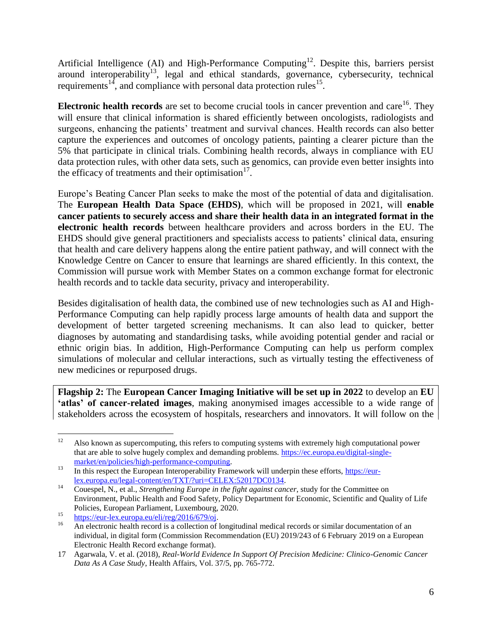Artificial Intelligence (AI) and High-Performance Computing<sup>12</sup>. Despite this, barriers persist around interoperability<sup>13</sup>, legal and ethical standards, governance, cybersecurity, technical requirements<sup>14</sup>, and compliance with personal data protection rules<sup>15</sup>.

**Electronic health records** are set to become crucial tools in cancer prevention and care<sup>16</sup>. They will ensure that clinical information is shared efficiently between oncologists, radiologists and surgeons, enhancing the patients' treatment and survival chances. Health records can also better capture the experiences and outcomes of oncology patients, painting a clearer picture than the 5% that participate in clinical trials. Combining health records, always in compliance with EU data protection rules, with other data sets, such as genomics, can provide even better insights into the efficacy of treatments and their optimisation $17$ .

Europe's Beating Cancer Plan seeks to make the most of the potential of data and digitalisation. The **European Health Data Space (EHDS)**, which will be proposed in 2021, will **enable cancer patients to securely access and share their health data in an integrated format in the electronic health records** between healthcare providers and across borders in the EU. The EHDS should give general practitioners and specialists access to patients' clinical data, ensuring that health and care delivery happens along the entire patient pathway, and will connect with the Knowledge Centre on Cancer to ensure that learnings are shared efficiently. In this context, the Commission will pursue work with Member States on a common exchange format for electronic health records and to tackle data security, privacy and interoperability.

Besides digitalisation of health data, the combined use of new technologies such as AI and High-Performance Computing can help rapidly process large amounts of health data and support the development of better targeted screening mechanisms. It can also lead to quicker, better diagnoses by automating and standardising tasks, while avoiding potential gender and racial or ethnic origin bias. In addition, High-Performance Computing can help us perform complex simulations of molecular and cellular interactions, such as virtually testing the effectiveness of new medicines or repurposed drugs.

**Flagship 2:** The **European Cancer Imaging Initiative will be set up in 2022** to develop an **EU 'atlas' of cancer-related images**, making anonymised images accessible to a wide range of stakeholders across the ecosystem of hospitals, researchers and innovators. It will follow on the

 $12$ <sup>12</sup> Also known as supercomputing, this refers to computing systems with extremely high computational power that are able to solve hugely complex and demanding problems. [https://ec.europa.eu/digital-single](https://ec.europa.eu/digital-single-market/en/policies/high-performance-computing)[market/en/policies/high-performance-computing.](https://ec.europa.eu/digital-single-market/en/policies/high-performance-computing)

<sup>&</sup>lt;sup>13</sup> In this respect the European Interoperability Framework will underpin these efforts, [https://eur](https://eur-lex.europa.eu/legal-content/en/TXT/?uri=CELEX:52017DC0134)[lex.europa.eu/legal-content/en/TXT/?uri=CELEX:52017DC0134.](https://eur-lex.europa.eu/legal-content/en/TXT/?uri=CELEX:52017DC0134)

<sup>14</sup> Couespel, N., et al., *Strengthening Europe in the fight against cancer*, study for the Committee on Environment, Public Health and Food Safety, Policy Department for Economic, Scientific and Quality of Life Policies, European Parliament, Luxembourg, 2020.

<sup>&</sup>lt;sup>15</sup> [https://eur-lex.europa.eu/eli/reg/2016/679/oj.](https://eur-lex.europa.eu/eli/reg/2016/679/oj)

<sup>16</sup> An electronic health record is a collection of longitudinal medical records or similar documentation of an individual, in digital form (Commission Recommendation (EU) 2019/243 of 6 February 2019 on a European Electronic Health Record exchange format).

<sup>17</sup> Agarwala, V. et al. (2018), *Real-World Evidence In Support Of Precision Medicine: Clinico-Genomic Cancer Data As A Case Study*, Health Affairs, Vol. 37/5, pp. 765-772.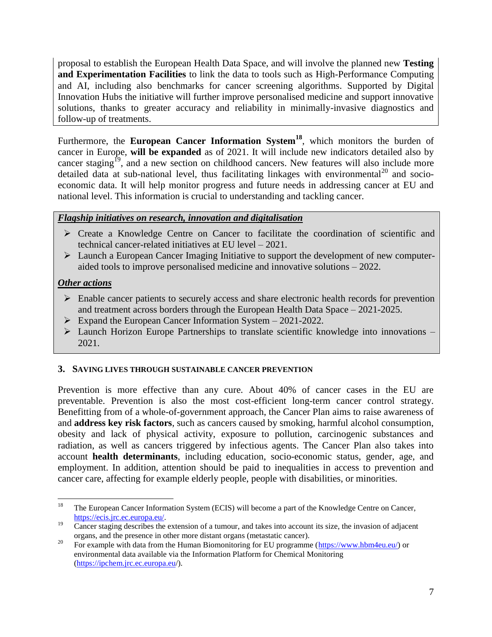proposal to establish the European Health Data Space, and will involve the planned new **Testing and Experimentation Facilities** to link the data to tools such as High-Performance Computing and AI, including also benchmarks for cancer screening algorithms. Supported by Digital Innovation Hubs the initiative will further improve personalised medicine and support innovative solutions, thanks to greater accuracy and reliability in minimally-invasive diagnostics and follow-up of treatments.

Furthermore, the **European Cancer Information System<sup>18</sup>**, which monitors the burden of cancer in Europe, **will be expanded** as of 2021. It will include new indicators detailed also by cancer staging<sup>19</sup>, and a new section on childhood cancers. New features will also include more detailed data at sub-national level, thus facilitating linkages with environmental<sup>20</sup> and socioeconomic data. It will help monitor progress and future needs in addressing cancer at EU and national level. This information is crucial to understanding and tackling cancer.

# *Flagship initiatives on research, innovation and digitalisation*

- Create a Knowledge Centre on Cancer to facilitate the coordination of scientific and technical cancer-related initiatives at EU level – 2021.
- Launch a European Cancer Imaging Initiative to support the development of new computeraided tools to improve personalised medicine and innovative solutions – 2022.

# *Other actions*

- $\triangleright$  Enable cancer patients to securely access and share electronic health records for prevention and treatment across borders through the European Health Data Space – 2021-2025.
- $\triangleright$  Expand the European Cancer Information System 2021-2022.
- $\triangleright$  Launch Horizon Europe Partnerships to translate scientific knowledge into innovations 2021.

### <span id="page-7-0"></span>**3. SAVING LIVES THROUGH SUSTAINABLE CANCER PREVENTION**

Prevention is more effective than any cure. About 40% of cancer cases in the EU are preventable. Prevention is also the most cost-efficient long-term cancer control strategy. Benefitting from of a whole-of-government approach, the Cancer Plan aims to raise awareness of and **address key risk factors**, such as cancers caused by smoking, harmful alcohol consumption, obesity and lack of physical activity, exposure to pollution, carcinogenic substances and radiation, as well as cancers triggered by infectious agents. The Cancer Plan also takes into account **health determinants**, including education, socio-economic status, gender, age, and employment. In addition, attention should be paid to inequalities in access to prevention and cancer care, affecting for example elderly people, people with disabilities, or minorities.

<sup>18</sup> <sup>18</sup> The European Cancer Information System (ECIS) will become a part of the Knowledge Centre on Cancer, [https://ecis.jrc.ec.europa.eu/.](https://ecis.jrc.ec.europa.eu/)

 $19$  Cancer staging describes the extension of a tumour, and takes into account its size, the invasion of adjacent organs, and the presence in other more distant organs (metastatic cancer).

<sup>&</sup>lt;sup>20</sup> For example with data from the Human Biomonitoring for EU programme [\(https://www.hbm4eu.eu/\)](https://www.hbm4eu.eu/) or environmental data available via the Information Platform for Chemical Monitoring [\(https://ipchem.jrc.ec.europa.eu/](https://ipchem.jrc.ec.europa.eu/)).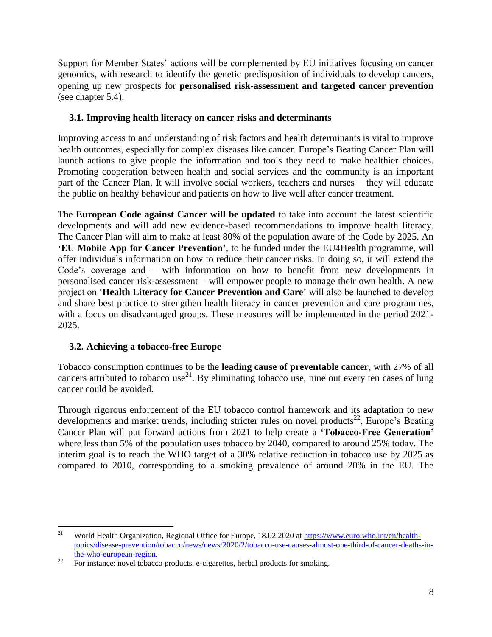Support for Member States' actions will be complemented by EU initiatives focusing on cancer genomics, with research to identify the genetic predisposition of individuals to develop cancers, opening up new prospects for **personalised risk-assessment and targeted cancer prevention** (see chapter 5.4).

# <span id="page-8-0"></span>**3.1. Improving health literacy on cancer risks and determinants**

Improving access to and understanding of risk factors and health determinants is vital to improve health outcomes, especially for complex diseases like cancer. Europe's Beating Cancer Plan will launch actions to give people the information and tools they need to make healthier choices. Promoting cooperation between health and social services and the community is an important part of the Cancer Plan. It will involve social workers, teachers and nurses – they will educate the public on healthy behaviour and patients on how to live well after cancer treatment.

The **European Code against Cancer will be updated** to take into account the latest scientific developments and will add new evidence-based recommendations to improve health literacy. The Cancer Plan will aim to make at least 80% of the population aware of the Code by 2025. An **'EU Mobile App for Cancer Prevention'**, to be funded under the EU4Health programme, will offer individuals information on how to reduce their cancer risks. In doing so, it will extend the Code's coverage and – with information on how to benefit from new developments in personalised cancer risk-assessment – will empower people to manage their own health. A new project on '**Health Literacy for Cancer Prevention and Care**' will also be launched to develop and share best practice to strengthen health literacy in cancer prevention and care programmes, with a focus on disadvantaged groups. These measures will be implemented in the period 2021- 2025.

# <span id="page-8-1"></span>**3.2. Achieving a tobacco-free Europe**

Tobacco consumption continues to be the **leading cause of preventable cancer**, with 27% of all cancers attributed to tobacco use<sup>21</sup>. By eliminating tobacco use, nine out every ten cases of lung cancer could be avoided.

Through rigorous enforcement of the EU tobacco control framework and its adaptation to new developments and market trends, including stricter rules on novel products<sup>22</sup>, Europe's Beating Cancer Plan will put forward actions from 2021 to help create a **'Tobacco-Free Generation'** where less than 5% of the population uses tobacco by 2040, compared to around 25% today. The interim goal is to reach the WHO target of a 30% relative reduction in tobacco use by 2025 as compared to 2010, corresponding to a smoking prevalence of around 20% in the EU. The

 $21$ <sup>21</sup> World Health Organization, Regional Office for Europe, 18.02.2020 at [https://www.euro.who.int/en/health](https://www.euro.who.int/en/health-topics/disease-prevention/tobacco/news/news/2020/2/tobacco-use-causes-almost-one-third-of-cancer-deaths-in-the-who-european-region)[topics/disease-prevention/tobacco/news/news/2020/2/tobacco-use-causes-almost-one-third-of-cancer-deaths-in](https://www.euro.who.int/en/health-topics/disease-prevention/tobacco/news/news/2020/2/tobacco-use-causes-almost-one-third-of-cancer-deaths-in-the-who-european-region)[the-who-european-region.](https://www.euro.who.int/en/health-topics/disease-prevention/tobacco/news/news/2020/2/tobacco-use-causes-almost-one-third-of-cancer-deaths-in-the-who-european-region)

<sup>&</sup>lt;sup>22</sup> For instance: novel tobacco products, e-cigarettes, herbal products for smoking.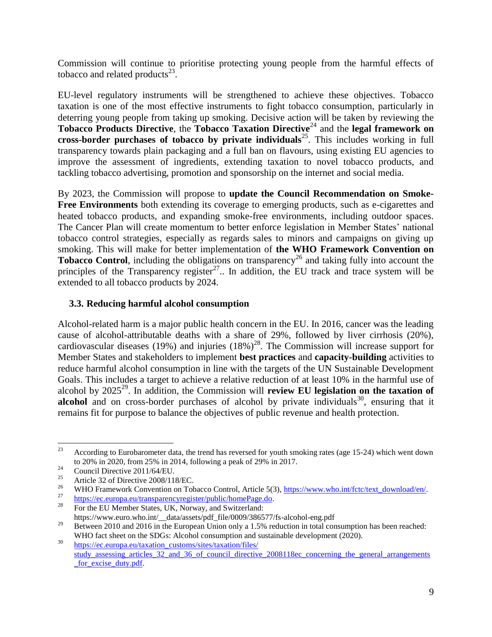Commission will continue to prioritise protecting young people from the harmful effects of tobacco and related products $^{23}$ .

EU-level regulatory instruments will be strengthened to achieve these objectives. Tobacco taxation is one of the most effective instruments to fight tobacco consumption, particularly in deterring young people from taking up smoking. Decisive action will be taken by reviewing the **Tobacco Products Directive**, the **Tobacco Taxation Directive**<sup>24</sup> and the **legal framework on cross-border purchases of tobacco by private individuals<sup>25</sup>. This includes working in full** transparency towards plain packaging and a full ban on flavours, using existing EU agencies to improve the assessment of ingredients, extending taxation to novel tobacco products, and tackling tobacco advertising, promotion and sponsorship on the internet and social media.

By 2023, the Commission will propose to **update the Council Recommendation on Smoke-Free Environments** both extending its coverage to emerging products, such as e-cigarettes and heated tobacco products, and expanding smoke-free environments, including outdoor spaces. The Cancer Plan will create momentum to better enforce legislation in Member States' national tobacco control strategies, especially as regards sales to minors and campaigns on giving up smoking. This will make for better implementation of **the WHO Framework Convention on Tobacco Control**, including the obligations on transparency<sup>26</sup> and taking fully into account the principles of the Transparency register $^{27}$ . In addition, the EU track and trace system will be extended to all tobacco products by 2024.

### <span id="page-9-0"></span>**3.3. Reducing harmful alcohol consumption**

Alcohol-related harm is a major public health concern in the EU. In 2016, cancer was the leading cause of alcohol-attributable deaths with a share of 29%, followed by liver cirrhosis (20%), cardiovascular diseases (19%) and injuries  $(18\%)^{28}$ . The Commission will increase support for Member States and stakeholders to implement **best practices** and **capacity-building** activities to reduce harmful alcohol consumption in line with the targets of the UN Sustainable Development Goals. This includes a target to achieve a relative reduction of at least 10% in the harmful use of alcohol by  $2025^{29}$ . In addition, the Commission will **review EU legislation on the taxation of** alcohol and on cross-border purchases of alcohol by private individuals<sup>30</sup>, ensuring that it remains fit for purpose to balance the objectives of public revenue and health protection.

 $2<sub>3</sub>$ <sup>23</sup> According to Eurobarometer data, the trend has reversed for youth smoking rates (age 15-24) which went down to 20% in 2020, from 25% in 2014, following a peak of 29% in 2017.

<sup>&</sup>lt;sup>24</sup> Council Directive 2011/64/EU.

<sup>&</sup>lt;sup>25</sup> Article 32 of Directive 2008/118/EC.

<sup>&</sup>lt;sup>26</sup> WHO Framework Convention on Tobacco Control, Article 5(3),  $\frac{https://www.who.int/fctc/text download/en/27}{https://www.who.int/fctc/text download/en/27}$ .

 $\frac{27}{28}$  [https://ec.europa.eu/transparencyregister/public/homePage.do.](https://ec.europa.eu/transparencyregister/public/homePage.do)

For the EU Member States, UK, Norway, and Switzerland: https://www.euro.who.int/\_\_data/assets/pdf\_file/0009/386577/fs-alcohol-eng.pdf

<sup>&</sup>lt;sup>29</sup> Between 2010 and 2016 in the European Union only a 1.5% reduction in total consumption has been reached: WHO fact sheet on the SDGs: Alcohol consumption and sustainable development (2020).

<sup>&</sup>lt;sup>30</sup> https://ec.europa.eu/taxation\_customs/sites/taxation/files/ study assessing articles 32 and 36 of council directive 2008118ec concerning the general arrangements for excise duty.pdf.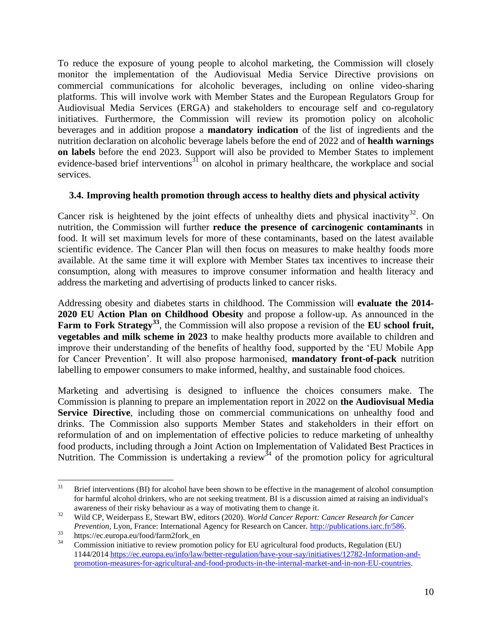To reduce the exposure of young people to alcohol marketing, the Commission will closely monitor the implementation of the Audiovisual Media Service Directive provisions on commercial communications for alcoholic beverages, including on online video-sharing platforms. This will involve work with Member States and the European Regulators Group for Audiovisual Media Services (ERGA) and stakeholders to encourage self and co-regulatory initiatives. Furthermore, the Commission will review its promotion policy on alcoholic beverages and in addition propose a **mandatory indication** of the list of ingredients and the nutrition declaration on alcoholic beverage labels before the end of 2022 and of **health warnings on labels** before the end 2023. Support will also be provided to Member States to implement evidence-based brief interventions<sup>31</sup> on alcohol in primary healthcare, the workplace and social services.

### <span id="page-10-0"></span>**3.4. Improving health promotion through access to healthy diets and physical activity**

Cancer risk is heightened by the joint effects of unhealthy diets and physical inactivity<sup>32</sup>. On nutrition, the Commission will further **reduce the presence of carcinogenic contaminants** in food. It will set maximum levels for more of these contaminants, based on the latest available scientific evidence. The Cancer Plan will then focus on measures to make healthy foods more available. At the same time it will explore with Member States tax incentives to increase their consumption, along with measures to improve consumer information and health literacy and address the marketing and advertising of products linked to cancer risks.

Addressing obesity and diabetes starts in childhood. The Commission will **evaluate the 2014- 2020 EU Action Plan on Childhood Obesity** and propose a follow-up. As announced in the **Farm to Fork Strategy<sup>33</sup>**, the Commission will also propose a revision of the **EU school fruit, vegetables and milk scheme in 2023** to make healthy products more available to children and improve their understanding of the benefits of healthy food, supported by the 'EU Mobile App for Cancer Prevention'. It will also propose harmonised, **mandatory front-of-pack** nutrition labelling to empower consumers to make informed, healthy, and sustainable food choices.

Marketing and advertising is designed to influence the choices consumers make. The Commission is planning to prepare an implementation report in 2022 on **the Audiovisual Media Service Directive**, including those on commercial communications on unhealthy food and drinks. The Commission also supports Member States and stakeholders in their effort on reformulation of and on implementation of effective policies to reduce marketing of unhealthy food products, including through a Joint Action on Implementation of Validated Best Practices in Nutrition. The Commission is undertaking a review<sup>34</sup> of the promotion policy for agricultural

 $31$ Brief interventions (BI) for alcohol have been shown to be effective in the management of alcohol consumption for harmful alcohol drinkers, who are not seeking treatment. BI is a discussion aimed at raising an individual's awareness of their risky behaviour as a way of motivating them to change it.

<sup>32</sup> Wild CP, Weiderpass E, Stewart BW, editors (2020). *World Cancer Report: Cancer Research for Cancer Prevention*, Lyon, France: International Agency for Research on Cancer. [http://publications.iarc.fr/586.](http://publications.iarc.fr/586)

<sup>33</sup> https://ec.europa.eu/food/farm2fork\_en

<sup>34</sup> Commission initiative to review promotion policy for EU agricultural food products, Regulation (EU) 1144/2014 [https://ec.europa.eu/info/law/better-regulation/have-your-say/initiatives/12782-Information-and](https://ec.europa.eu/info/law/better-regulation/have-your-say/initiatives/12782-Information-and-promotion-measures-for-agricultural-and-food-products-in-the-internal-market-and-in-non-EU-countries)[promotion-measures-for-agricultural-and-food-products-in-the-internal-market-and-in-non-EU-countries.](https://ec.europa.eu/info/law/better-regulation/have-your-say/initiatives/12782-Information-and-promotion-measures-for-agricultural-and-food-products-in-the-internal-market-and-in-non-EU-countries)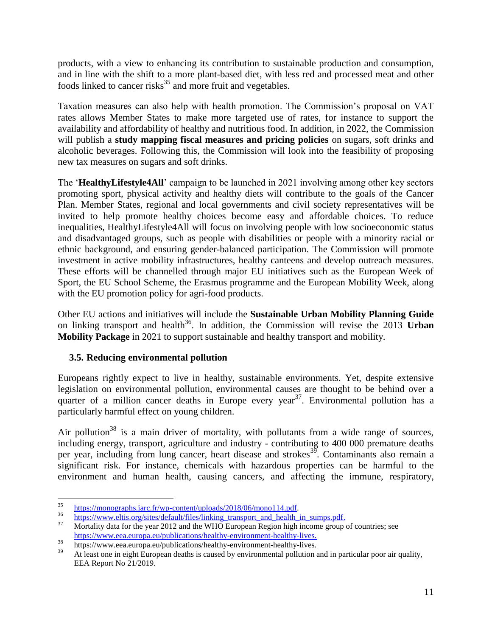products, with a view to enhancing its contribution to sustainable production and consumption, and in line with the shift to a more plant-based diet, with less red and processed meat and other foods linked to cancer risks $35$  and more fruit and vegetables.

Taxation measures can also help with health promotion. The Commission's proposal on VAT rates allows Member States to make more targeted use of rates, for instance to support the availability and affordability of healthy and nutritious food. In addition, in 2022, the Commission will publish a **study mapping fiscal measures and pricing policies** on sugars, soft drinks and alcoholic beverages. Following this, the Commission will look into the feasibility of proposing new tax measures on sugars and soft drinks.

The '**HealthyLifestyle4All**' campaign to be launched in 2021 involving among other key sectors promoting sport, physical activity and healthy diets will contribute to the goals of the Cancer Plan. Member States, regional and local governments and civil society representatives will be invited to help promote healthy choices become easy and affordable choices. To reduce inequalities, HealthyLifestyle4All will focus on involving people with low socioeconomic status and disadvantaged groups, such as people with disabilities or people with a minority racial or ethnic background, and ensuring gender-balanced participation. The Commission will promote investment in active mobility infrastructures, healthy canteens and develop outreach measures. These efforts will be channelled through major EU initiatives such as the European Week of Sport, the EU School Scheme, the Erasmus programme and the European Mobility Week, along with the EU promotion policy for agri-food products.

Other EU actions and initiatives will include the **Sustainable Urban Mobility Planning Guide** on linking transport and health<sup>36</sup>. In addition, the Commission will revise the 2013 **Urban Mobility Package** in 2021 to support sustainable and healthy transport and mobility.

# <span id="page-11-0"></span>**3.5. Reducing environmental pollution**

Europeans rightly expect to live in healthy, sustainable environments. Yet, despite extensive legislation on environmental pollution, environmental causes are thought to be behind over a quarter of a million cancer deaths in Europe every year<sup>37</sup>. Environmental pollution has a particularly harmful effect on young children.

Air pollution<sup>38</sup> is a main driver of mortality, with pollutants from a wide range of sources, including energy, transport, agriculture and industry - contributing to 400 000 premature deaths per year, including from lung cancer, heart disease and strokes<sup>39</sup>. Contaminants also remain a significant risk. For instance, chemicals with hazardous properties can be harmful to the environment and human health, causing cancers, and affecting the immune, respiratory,

<sup>35</sup>  $\frac{35}{36}$  [https://monographs.iarc.fr/wp-content/uploads/2018/06/mono114.pdf.](https://monographs.iarc.fr/wp-content/uploads/2018/06/mono114.pdf)

 $\frac{36}{37}$  [https://www.eltis.org/sites/default/files/linking\\_transport\\_and\\_health\\_in\\_sumps.pdf.](https://www.eltis.org/sites/default/files/linking_transport_and_health_in_sumps.pdf)

Mortality data for the year 2012 and the WHO European Region high income group of countries; see https://www.eea.europa.eu/publications/healthy-environment-healthy-lives.

<sup>38</sup> https://www.eea.europa.eu/publications/healthy-environment-healthy-lives.

<sup>39</sup> At least one in eight European deaths is caused by environmental pollution and in particular poor air quality, EEA Report No 21/2019.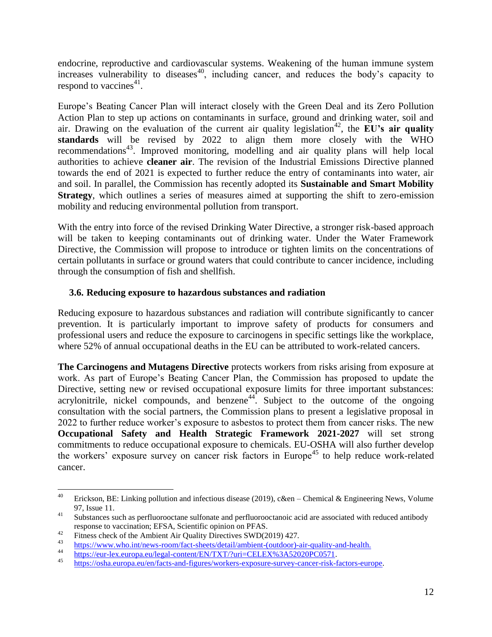endocrine, reproductive and cardiovascular systems. Weakening of the human immune system increases vulnerability to diseases<sup>40</sup>, including cancer, and reduces the body's capacity to respond to vaccines<sup>41</sup>.

Europe's Beating Cancer Plan will interact closely with the Green Deal and its Zero Pollution Action Plan to step up actions on contaminants in surface, ground and drinking water, soil and air. Drawing on the evaluation of the current air quality legislation<sup>42</sup>, the **EU's air quality standards** will be revised by 2022 to align them more closely with the WHO recommendations<sup>43</sup>. Improved monitoring, modelling and air quality plans will help local authorities to achieve **cleaner air**. The revision of the Industrial Emissions Directive planned towards the end of 2021 is expected to further reduce the entry of contaminants into water, air and soil. In parallel, the Commission has recently adopted its **Sustainable and Smart Mobility Strategy**, which outlines a series of measures aimed at supporting the shift to zero-emission mobility and reducing environmental pollution from transport.

With the entry into force of the revised Drinking Water Directive, a stronger risk-based approach will be taken to keeping contaminants out of drinking water. Under the Water Framework Directive, the Commission will propose to introduce or tighten limits on the concentrations of certain pollutants in surface or ground waters that could contribute to cancer incidence, including through the consumption of fish and shellfish.

### <span id="page-12-0"></span>**3.6. Reducing exposure to hazardous substances and radiation**

Reducing exposure to hazardous substances and radiation will contribute significantly to cancer prevention. It is particularly important to improve safety of products for consumers and professional users and reduce the exposure to carcinogens in specific settings like the workplace, where 52% of annual occupational deaths in the EU can be attributed to work-related cancers.

**The Carcinogens and Mutagens Directive** protects workers from risks arising from exposure at work. As part of Europe's Beating Cancer Plan, the Commission has proposed to update the Directive, setting new or revised occupational exposure limits for three important substances: acrylonitrile, nickel compounds, and benzene<sup>44</sup>. Subject to the outcome of the ongoing consultation with the social partners, the Commission plans to present a legislative proposal in 2022 to further reduce worker's exposure to asbestos to protect them from cancer risks. The new **Occupational Safety and Health Strategic Framework 2021-2027** will set strong commitments to reduce occupational exposure to chemicals. EU-OSHA will also further develop the workers' exposure survey on cancer risk factors in Europe<sup>45</sup> to help reduce work-related cancer.

<sup>40</sup> Erickson, BE: Linking pollution and infectious disease (2019), c&en – Chemical & Engineering News, Volume [97, Issue 11.](https://cen.acs.org/magazine/97/09711.html) 

<sup>&</sup>lt;sup>41</sup> Substances such as perfluorooctane sulfonate and perfluorooctanoic acid are associated with reduced antibody response to vaccination; EFSA, Scientific opinion on PFAS.

<sup>&</sup>lt;sup>42</sup> Fitness check of the Ambient Air Quality Directives SWD(2019) 427.

<sup>43</sup> [https://www.who.int/news-room/fact-sheets/detail/ambient-\(outdoor\)-air-quality-and-health.](https://www.who.int/news-room/fact-sheets/detail/ambient-(outdoor)-air-quality-and-health)

<sup>&</sup>lt;sup>44</sup> [https://eur-lex.europa.eu/legal-content/EN/TXT/?uri=CELEX%3A52020PC0571.](https://eur-lex.europa.eu/legal-content/EN/TXT/?uri=CELEX%3A52020PC0571)

<sup>45</sup> [https://osha.europa.eu/en/facts-and-figures/workers-exposure-survey-cancer-risk-factors-europe.](https://osha.europa.eu/en/facts-and-figures/workers-exposure-survey-cancer-risk-factors-europe)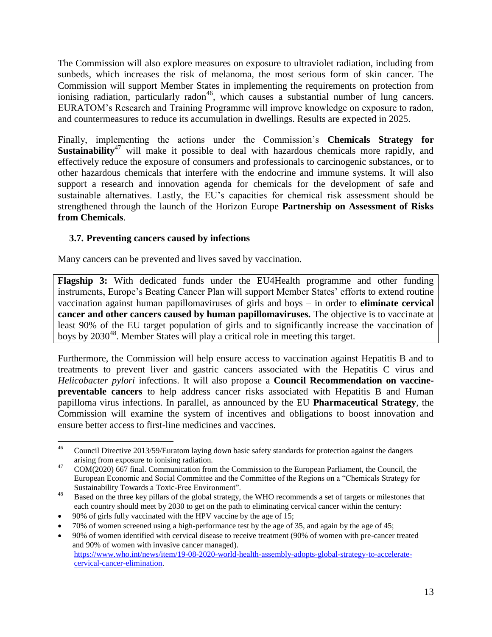The Commission will also explore measures on exposure to ultraviolet radiation, including from sunbeds, which increases the risk of melanoma, the most serious form of skin cancer. The Commission will support Member States in implementing the requirements on protection from ionising radiation, particularly radon<sup>46</sup>, which causes a substantial number of lung cancers. EURATOM's Research and Training Programme will improve knowledge on exposure to radon, and countermeasures to reduce its accumulation in dwellings. Results are expected in 2025.

Finally, implementing the actions under the Commission's **Chemicals Strategy for Sustainability**<sup>47</sup> will make it possible to deal with hazardous chemicals more rapidly, and effectively reduce the exposure of consumers and professionals to carcinogenic substances, or to other hazardous chemicals that interfere with the endocrine and immune systems. It will also support a research and innovation agenda for chemicals for the development of safe and sustainable alternatives. Lastly, the EU's capacities for chemical risk assessment should be strengthened through the launch of the Horizon Europe **Partnership on Assessment of Risks from Chemicals**.

### <span id="page-13-0"></span>**3.7. Preventing cancers caused by infections**

Many cancers can be prevented and lives saved by vaccination.

**Flagship 3:** With dedicated funds under the EU4Health programme and other funding instruments, Europe's Beating Cancer Plan will support Member States' efforts to extend routine vaccination against human papillomaviruses of girls and boys – in order to **eliminate cervical cancer and other cancers caused by human papillomaviruses.** The objective is to vaccinate at least 90% of the EU target population of girls and to significantly increase the vaccination of boys by 2030<sup>48</sup>. Member States will play a critical role in meeting this target.

Furthermore, the Commission will help ensure access to vaccination against Hepatitis B and to treatments to prevent liver and gastric cancers associated with the Hepatitis C virus and *Helicobacter pylori* infections. It will also propose a **Council Recommendation on vaccinepreventable cancers** to help address cancer risks associated with Hepatitis B and Human papilloma virus infections. In parallel, as announced by the EU **Pharmaceutical Strategy**, the Commission will examine the system of incentives and obligations to boost innovation and ensure better access to first-line medicines and vaccines.

 $46$ <sup>46</sup> Council Directive 2013/59/Euratom laying down basic safety standards for protection against the dangers arising from exposure to ionising radiation.

<sup>&</sup>lt;sup>47</sup> COM(2020) 667 final. Communication from the Commission to the European Parliament, the Council, the European Economic and Social Committee and the Committee of the Regions on a "Chemicals Strategy for Sustainability Towards a Toxic-Free Environment".

<sup>&</sup>lt;sup>48</sup> Based on the three key pillars of the global strategy, the WHO recommends a set of targets or milestones that each country should meet by 2030 to get on the path to eliminating cervical cancer within the century:

90% of girls fully vaccinated with the HPV vaccine by the age of 15;

70% of women screened using a high-performance test by the age of 35, and again by the age of 45;

90% of women identified with cervical disease to receive treatment (90% of women with pre-cancer treated and 90% of women with invasive cancer managed). [https://www.who.int/news/item/19-08-2020-world-health-assembly-adopts-global-strategy-to-accelerate](https://www.who.int/news/item/19-08-2020-world-health-assembly-adopts-global-strategy-to-accelerate-cervical-cancer-elimination)[cervical-cancer-elimination.](https://www.who.int/news/item/19-08-2020-world-health-assembly-adopts-global-strategy-to-accelerate-cervical-cancer-elimination)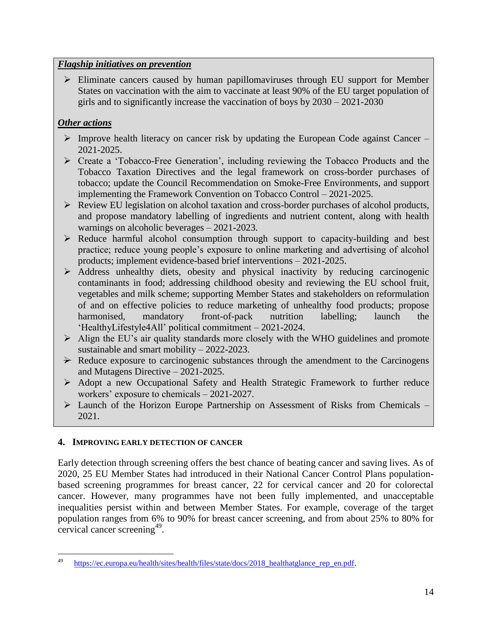### *Flagship initiatives on prevention*

 $\triangleright$  Eliminate cancers caused by human papillomaviruses through EU support for Member States on vaccination with the aim to vaccinate at least 90% of the EU target population of girls and to significantly increase the vaccination of boys by 2030 – 2021-2030

# *Other actions*

- $\triangleright$  Improve health literacy on cancer risk by updating the European Code against Cancer 2021-2025.
- Create a 'Tobacco-Free Generation', including reviewing the Tobacco Products and the Tobacco Taxation Directives and the legal framework on cross-border purchases of tobacco; update the Council Recommendation on Smoke-Free Environments, and support implementing the Framework Convention on Tobacco Control – 2021-2025.
- $\triangleright$  Review EU legislation on alcohol taxation and cross-border purchases of alcohol products, and propose mandatory labelling of ingredients and nutrient content, along with health warnings on alcoholic beverages – 2021-2023.
- $\triangleright$  Reduce harmful alcohol consumption through support to capacity-building and best practice; reduce young people's exposure to online marketing and advertising of alcohol products; implement evidence-based brief interventions – 2021-2025.
- $\triangleright$  Address unhealthy diets, obesity and physical inactivity by reducing carcinogenic contaminants in food; addressing childhood obesity and reviewing the EU school fruit, vegetables and milk scheme; supporting Member States and stakeholders on reformulation of and on effective policies to reduce marketing of unhealthy food products; propose harmonised, mandatory front-of-pack nutrition labelling; launch the 'HealthyLifestyle4All' political commitment – 2021-2024.
- Align the EU's air quality standards more closely with the WHO guidelines and promote sustainable and smart mobility – 2022-2023.
- $\rightarrow$  Reduce exposure to carcinogenic substances through the amendment to the Carcinogens and Mutagens Directive – 2021-2025.
- Adopt a new Occupational Safety and Health Strategic Framework to further reduce workers' exposure to chemicals – 2021-2027.
- Launch of the Horizon Europe Partnership on Assessment of Risks from Chemicals 2021.

# <span id="page-14-0"></span>**4. IMPROVING EARLY DETECTION OF CANCER**

Early detection through screening offers the best chance of beating cancer and saving lives. As of 2020, 25 EU Member States had introduced in their National Cancer Control Plans populationbased screening programmes for breast cancer, 22 for cervical cancer and 20 for colorectal cancer. However, many programmes have not been fully implemented, and unacceptable inequalities persist within and between Member States. For example, coverage of the target population ranges from 6% to 90% for breast cancer screening, and from about 25% to 80% for cervical cancer screening<sup>49</sup>.

<sup>49</sup> [https://ec.europa.eu/health/sites/health/files/state/docs/2018\\_healthatglance\\_rep\\_en.pdf.](https://ec.europa.eu/health/sites/health/files/state/docs/2018_healthatglance_rep_en.pdf)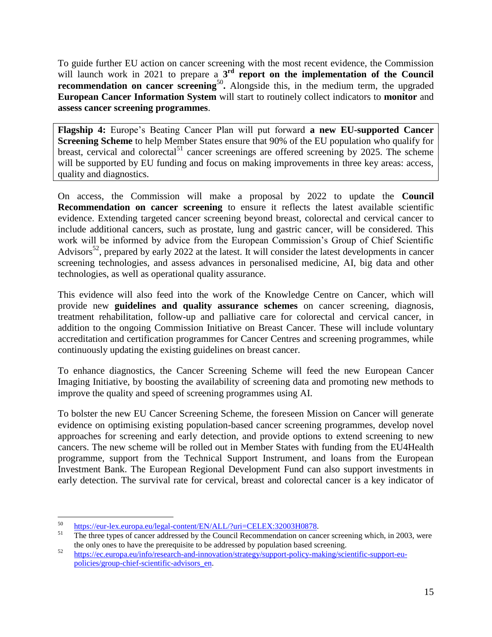To guide further EU action on cancer screening with the most recent evidence, the Commission will launch work in 2021 to prepare a  $3<sup>rd</sup>$  **report on the implementation of the Council recommendation on cancer screening<sup>50</sup>.** Alongside this, in the medium term, the upgraded **European Cancer Information System** will start to routinely collect indicators to **monitor** and **assess cancer screening programmes**.

**Flagship 4:** Europe's Beating Cancer Plan will put forward **a new EU-supported Cancer Screening Scheme** to help Member States ensure that 90% of the EU population who qualify for breast, cervical and colorectal<sup>51</sup> cancer screenings are offered screening by 2025. The scheme will be supported by EU funding and focus on making improvements in three key areas: access, quality and diagnostics.

On access, the Commission will make a proposal by 2022 to update the **Council Recommendation on cancer screening** to ensure it reflects the latest available scientific evidence. Extending targeted cancer screening beyond breast, colorectal and cervical cancer to include additional cancers, such as prostate, lung and gastric cancer, will be considered. This work will be informed by advice from the European Commission's Group of Chief Scientific Advisors<sup>52</sup>, prepared by early 2022 at the latest. It will consider the latest developments in cancer screening technologies, and assess advances in personalised medicine, AI, big data and other technologies, as well as operational quality assurance.

This evidence will also feed into the work of the Knowledge Centre on Cancer, which will provide new **guidelines and quality assurance schemes** on cancer screening, diagnosis, treatment rehabilitation, follow-up and palliative care for colorectal and cervical cancer, in addition to the ongoing Commission Initiative on Breast Cancer. These will include voluntary accreditation and certification programmes for Cancer Centres and screening programmes, while continuously updating the existing guidelines on breast cancer.

To enhance diagnostics, the Cancer Screening Scheme will feed the new European Cancer Imaging Initiative, by boosting the availability of screening data and promoting new methods to improve the quality and speed of screening programmes using AI.

To bolster the new EU Cancer Screening Scheme, the foreseen Mission on Cancer will generate evidence on optimising existing population-based cancer screening programmes, develop novel approaches for screening and early detection, and provide options to extend screening to new cancers. The new scheme will be rolled out in Member States with funding from the EU4Health programme, support from the Technical Support Instrument, and loans from the European Investment Bank. The European Regional Development Fund can also support investments in early detection. The survival rate for cervical, breast and colorectal cancer is a key indicator of

 $\overline{a}$  $^{50}$  [https://eur-lex.europa.eu/legal-content/EN/ALL/?uri=CELEX:32003H0878.](https://eur-lex.europa.eu/legal-content/EN/ALL/?uri=CELEX:32003H0878)<br> $^{51}$ 

The three types of cancer addressed by the Council Recommendation on cancer screening which, in 2003, were the only ones to have the prerequisite to be addressed by population based screening.

<sup>52</sup> [https://ec.europa.eu/info/research-and-innovation/strategy/support-policy-making/scientific-support-eu](https://ec.europa.eu/info/research-and-innovation/strategy/support-policy-making/scientific-support-eu-policies/group-chief-scientific-advisors_en)[policies/group-chief-scientific-advisors\\_en.](https://ec.europa.eu/info/research-and-innovation/strategy/support-policy-making/scientific-support-eu-policies/group-chief-scientific-advisors_en)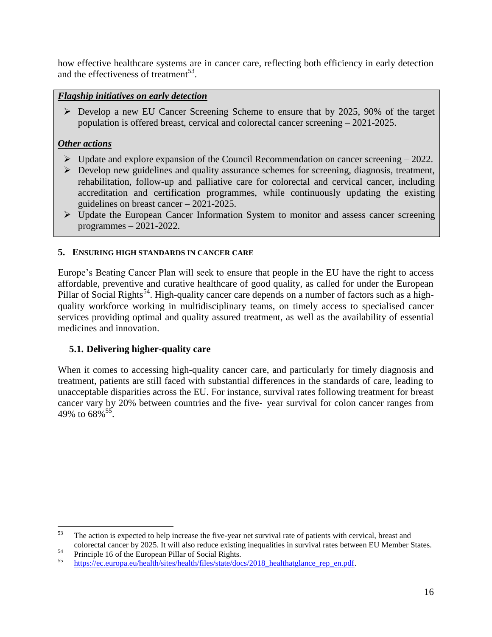how effective healthcare systems are in cancer care, reflecting both efficiency in early detection and the effectiveness of treatment<sup>53</sup>.

### *Flagship initiatives on early detection*

 Develop a new EU Cancer Screening Scheme to ensure that by 2025, 90% of the target population is offered breast, cervical and colorectal cancer screening – 2021-2025.

# *Other actions*

- $\triangleright$  Update and explore expansion of the Council Recommendation on cancer screening  $-2022$ .
- $\triangleright$  Develop new guidelines and quality assurance schemes for screening, diagnosis, treatment, rehabilitation, follow-up and palliative care for colorectal and cervical cancer, including accreditation and certification programmes, while continuously updating the existing guidelines on breast cancer – 2021-2025.
- Update the European Cancer Information System to monitor and assess cancer screening programmes – 2021-2022.

### <span id="page-16-0"></span>**5. ENSURING HIGH STANDARDS IN CANCER CARE**

Europe's Beating Cancer Plan will seek to ensure that people in the EU have the right to access affordable, preventive and curative healthcare of good quality, as called for under the European Pillar of Social Rights<sup>54</sup>. High-quality cancer care depends on a number of factors such as a highquality workforce working in multidisciplinary teams, on timely access to specialised cancer services providing optimal and quality assured treatment, as well as the availability of essential medicines and innovation.

### <span id="page-16-1"></span>**5.1. Delivering higher-quality care**

When it comes to accessing high-quality cancer care, and particularly for timely diagnosis and treatment, patients are still faced with substantial differences in the standards of care, leading to unacceptable disparities across the EU. For instance, survival rates following treatment for breast cancer vary by 20% between countries and the five‑ year survival for colon cancer ranges from 49% to  $68\%$ <sup>55</sup>.

 $\overline{a}$ 

<sup>&</sup>lt;sup>53</sup> The action is expected to help increase the five-year net survival rate of patients with cervical, breast and colorectal cancer by 2025. It will also reduce existing inequalities in survival rates between EU Member States.

 $^{54}$  Principle 16 of the European Pillar of Social Rights.

[https://ec.europa.eu/health/sites/health/files/state/docs/2018\\_healthatglance\\_rep\\_en.pdf.](https://ec.europa.eu/health/sites/health/files/state/docs/2018_healthatglance_rep_en.pdf)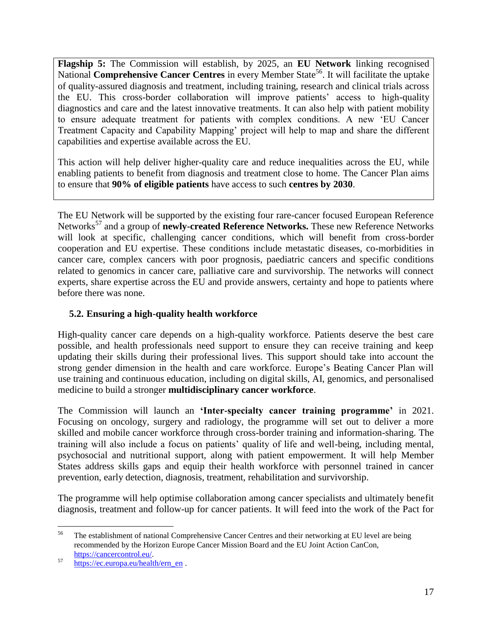**Flagship 5:** The Commission will establish, by 2025, an **EU Network** linking recognised National **Comprehensive Cancer Centres** in every Member State<sup>56</sup>. It will facilitate the uptake of quality-assured diagnosis and treatment, including training, research and clinical trials across the EU. This cross-border collaboration will improve patients' access to high-quality diagnostics and care and the latest innovative treatments. It can also help with patient mobility to ensure adequate treatment for patients with complex conditions. A new 'EU Cancer Treatment Capacity and Capability Mapping' project will help to map and share the different capabilities and expertise available across the EU.

This action will help deliver higher-quality care and reduce inequalities across the EU, while enabling patients to benefit from diagnosis and treatment close to home. The Cancer Plan aims to ensure that **90% of eligible patients** have access to such **centres by 2030**.

The EU Network will be supported by the existing four rare-cancer focused European Reference Networks<sup>57</sup> and a group of **newly-created Reference Networks.** These new Reference Networks will look at specific, challenging cancer conditions, which will benefit from cross-border cooperation and EU expertise. These conditions include metastatic diseases, co-morbidities in cancer care, complex cancers with poor prognosis, paediatric cancers and specific conditions related to genomics in cancer care, palliative care and survivorship. The networks will connect experts, share expertise across the EU and provide answers, certainty and hope to patients where before there was none.

# <span id="page-17-0"></span>**5.2. Ensuring a high-quality health workforce**

High-quality cancer care depends on a high-quality workforce. Patients deserve the best care possible, and health professionals need support to ensure they can receive training and keep updating their skills during their professional lives. This support should take into account the strong gender dimension in the health and care workforce. Europe's Beating Cancer Plan will use training and continuous education, including on digital skills, AI, genomics, and personalised medicine to build a stronger **multidisciplinary cancer workforce**.

The Commission will launch an **'Inter-specialty cancer training programme'** in 2021. Focusing on oncology, surgery and radiology, the programme will set out to deliver a more skilled and mobile cancer workforce through cross-border training and information-sharing. The training will also include a focus on patients' quality of life and well-being, including mental, psychosocial and nutritional support, along with patient empowerment. It will help Member States address skills gaps and equip their health workforce with personnel trained in cancer prevention, early detection, diagnosis, treatment, rehabilitation and survivorship.

The programme will help optimise collaboration among cancer specialists and ultimately benefit diagnosis, treatment and follow-up for cancer patients. It will feed into the work of the Pact for

<sup>56</sup> The establishment of national Comprehensive Cancer Centres and their networking at EU level are being recommended by the Horizon Europe Cancer Mission Board and the EU Joint Action CanCon, [https://cancercontrol.eu/.](https://cancercontrol.eu/)

<sup>57</sup> [https://ec.europa.eu/health/ern\\_en](https://ec.europa.eu/health/ern_en) .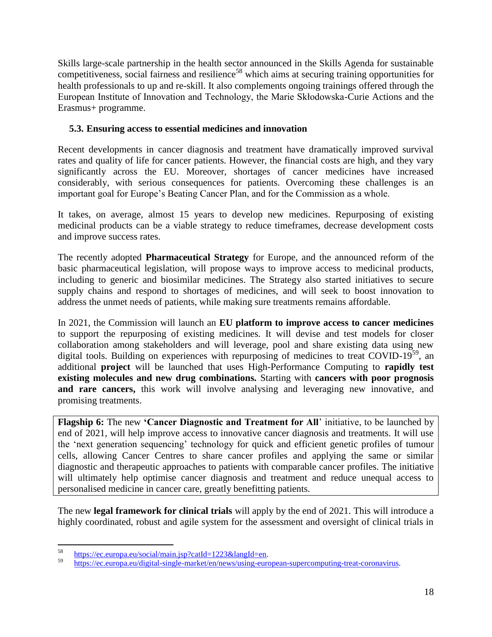Skills large-scale partnership in the health sector announced in the Skills Agenda for sustainable competitiveness, social fairness and resilience<sup>58</sup> which aims at securing training opportunities for health professionals to up and re-skill. It also complements ongoing trainings offered through the European Institute of Innovation and Technology, the Marie Skłodowska-Curie Actions and the Erasmus+ programme.

# <span id="page-18-0"></span>**5.3. Ensuring access to essential medicines and innovation**

Recent developments in cancer diagnosis and treatment have dramatically improved survival rates and quality of life for cancer patients. However, the financial costs are high, and they vary significantly across the EU. Moreover, shortages of cancer medicines have increased considerably, with serious consequences for patients. Overcoming these challenges is an important goal for Europe's Beating Cancer Plan, and for the Commission as a whole.

It takes, on average, almost 15 years to develop new medicines. Repurposing of existing medicinal products can be a viable strategy to reduce timeframes, decrease development costs and improve success rates.

The recently adopted **Pharmaceutical Strategy** for Europe, and the announced reform of the basic pharmaceutical legislation, will propose ways to improve access to medicinal products, including to generic and biosimilar medicines. The Strategy also started initiatives to secure supply chains and respond to shortages of medicines, and will seek to boost innovation to address the unmet needs of patients, while making sure treatments remains affordable.

In 2021, the Commission will launch an **EU platform to improve access to cancer medicines**  to support the repurposing of existing medicines. It will devise and test models for closer collaboration among stakeholders and will leverage, pool and share existing data using new digital tools. Building on experiences with repurposing of medicines to treat COVID-19<sup>59</sup>, an additional **project** will be launched that uses High-Performance Computing to **rapidly test existing molecules and new drug combinations.** Starting with **cancers with poor prognosis**  and rare cancers, this work will involve analysing and leveraging new innovative, and promising treatments.

**Flagship 6:** The new **'Cancer Diagnostic and Treatment for All**' initiative, to be launched by end of 2021, will help improve access to innovative cancer diagnosis and treatments. It will use the 'next generation sequencing' technology for quick and efficient genetic profiles of tumour cells, allowing Cancer Centres to share cancer profiles and applying the same or similar diagnostic and therapeutic approaches to patients with comparable cancer profiles. The initiative will ultimately help optimise cancer diagnosis and treatment and reduce unequal access to personalised medicine in cancer care, greatly benefitting patients.

The new **legal framework for clinical trials** will apply by the end of 2021. This will introduce a highly coordinated, robust and agile system for the assessment and oversight of clinical trials in

<sup>58</sup> <sup>58</sup> [https://ec.europa.eu/social/main.jsp?catId=1223&langId=en.](https://ec.europa.eu/social/main.jsp?catId=1223&langId=en)<br>59 https://ec.europa.eu/disitel.ein.gla.graphy/organization.com

<sup>59</sup> [https://ec.europa.eu/digital-single-market/en/news/using-european-supercomputing-treat-coronavirus.](https://ec.europa.eu/digital-single-market/en/news/using-european-supercomputing-treat-coronavirus)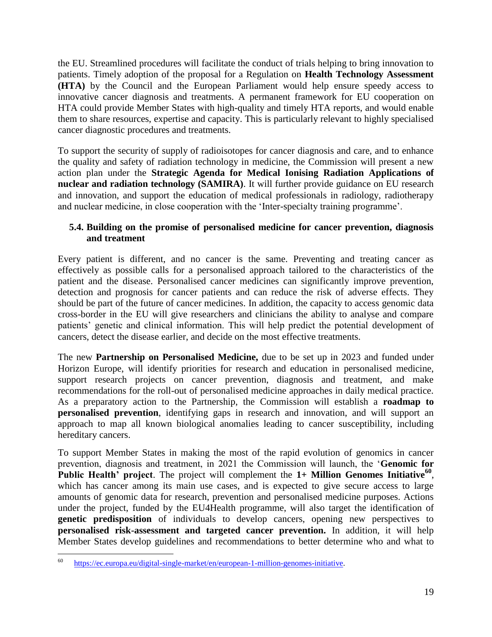the EU. Streamlined procedures will facilitate the conduct of trials helping to bring innovation to patients. Timely adoption of the proposal for a Regulation on **Health Technology Assessment (HTA)** by the Council and the European Parliament would help ensure speedy access to innovative cancer diagnosis and treatments. A permanent framework for EU cooperation on HTA could provide Member States with high-quality and timely HTA reports, and would enable them to share resources, expertise and capacity. This is particularly relevant to highly specialised cancer diagnostic procedures and treatments.

To support the security of supply of radioisotopes for cancer diagnosis and care, and to enhance the quality and safety of radiation technology in medicine, the Commission will present a new action plan under the **Strategic Agenda for Medical Ionising Radiation Applications of nuclear and radiation technology (SAMIRA)**. It will further provide guidance on EU research and innovation, and support the education of medical professionals in radiology, radiotherapy and nuclear medicine, in close cooperation with the 'Inter-specialty training programme'.

### <span id="page-19-0"></span>**5.4. Building on the promise of personalised medicine for cancer prevention, diagnosis and treatment**

Every patient is different, and no cancer is the same. Preventing and treating cancer as effectively as possible calls for a personalised approach tailored to the characteristics of the patient and the disease. Personalised cancer medicines can significantly improve prevention, detection and prognosis for cancer patients and can reduce the risk of adverse effects. They should be part of the future of cancer medicines. In addition, the capacity to access genomic data cross-border in the EU will give researchers and clinicians the ability to analyse and compare patients' genetic and clinical information. This will help predict the potential development of cancers, detect the disease earlier, and decide on the most effective treatments.

The new **Partnership on Personalised Medicine,** due to be set up in 2023 and funded under Horizon Europe, will identify priorities for research and education in personalised medicine, support research projects on cancer prevention, diagnosis and treatment, and make recommendations for the roll-out of personalised medicine approaches in daily medical practice. As a preparatory action to the Partnership, the Commission will establish a **roadmap to personalised prevention**, identifying gaps in research and innovation, and will support an approach to map all known biological anomalies leading to cancer susceptibility, including hereditary cancers.

To support Member States in making the most of the rapid evolution of genomics in cancer prevention, diagnosis and treatment, in 2021 the Commission will launch, the '**Genomic for Public Health' project.** The project will complement the 1+ Million Genomes Initiative<sup>60</sup>, which has cancer among its main use cases, and is expected to give secure access to large amounts of genomic data for research, prevention and personalised medicine purposes. Actions under the project, funded by the EU4Health programme, will also target the identification of **genetic predisposition** of individuals to develop cancers, opening new perspectives to **personalised risk-assessment and targeted cancer prevention.** In addition, it will help Member States develop guidelines and recommendations to better determine who and what to

<sup>60</sup> [https://ec.europa.eu/digital-single-market/en/european-1-million-genomes-initiative.](https://ec.europa.eu/digital-single-market/en/european-1-million-genomes-initiative)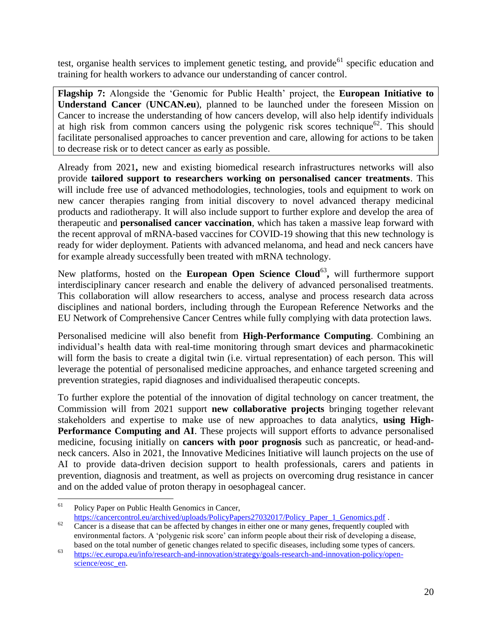test, organise health services to implement genetic testing, and provide<sup>61</sup> specific education and training for health workers to advance our understanding of cancer control.

**Flagship 7:** Alongside the 'Genomic for Public Health' project, the **European Initiative to Understand Cancer** (**UNCAN.eu**), planned to be launched under the foreseen Mission on Cancer to increase the understanding of how cancers develop, will also help identify individuals at high risk from common cancers using the polygenic risk scores technique<sup>62</sup>. This should facilitate personalised approaches to cancer prevention and care, allowing for actions to be taken to decrease risk or to detect cancer as early as possible.

Already from 2021**,** new and existing biomedical research infrastructures networks will also provide **tailored support to researchers working on personalised cancer treatments**. This will include free use of advanced methodologies, technologies, tools and equipment to work on new cancer therapies ranging from initial discovery to novel advanced therapy medicinal products and radiotherapy. It will also include support to further explore and develop the area of therapeutic and **personalised cancer vaccination**, which has taken a massive leap forward with the recent approval of mRNA-based vaccines for COVID-19 showing that this new technology is ready for wider deployment. Patients with advanced melanoma, and head and neck cancers have for example already successfully been treated with mRNA technology.

New platforms, hosted on the **European Open Science Cloud**<sup>63</sup>, will furthermore support interdisciplinary cancer research and enable the delivery of advanced personalised treatments. This collaboration will allow researchers to access, analyse and process research data across disciplines and national borders, including through the European Reference Networks and the EU Network of Comprehensive Cancer Centres while fully complying with data protection laws.

Personalised medicine will also benefit from **High-Performance Computing**. Combining an individual's health data with real-time monitoring through smart devices and pharmacokinetic will form the basis to create a digital twin (i.e. virtual representation) of each person. This will leverage the potential of personalised medicine approaches, and enhance targeted screening and prevention strategies, rapid diagnoses and individualised therapeutic concepts.

To further explore the potential of the innovation of digital technology on cancer treatment, the Commission will from 2021 support **new collaborative projects** bringing together relevant stakeholders and expertise to make use of new approaches to data analytics, **using High-Performance Computing and AI**. These projects will support efforts to advance personalised medicine, focusing initially on **cancers with poor prognosis** such as pancreatic, or head-andneck cancers. Also in 2021, the Innovative Medicines Initiative will launch projects on the use of AI to provide data-driven decision support to health professionals, carers and patients in prevention, diagnosis and treatment, as well as projects on overcoming drug resistance in cancer and on the added value of proton therapy in oesophageal cancer.

<sup>61</sup> Policy Paper on Public Health Genomics in Cancer,

[https://cancercontrol.eu/archived/uploads/PolicyPapers27032017/Policy\\_Paper\\_1\\_Genomics.pdf](https://cancercontrol.eu/archived/uploads/PolicyPapers27032017/Policy_Paper_1_Genomics.pdf) .  $62$  Cancer is a disease that can be affected by changes in either one or many genes, frequently coupled with

environmental factors. A 'polygenic risk score' can inform people about their risk of developing a disease, based on the total number of genetic changes related to specific diseases, including some types of cancers.

<sup>63</sup> [https://ec.europa.eu/info/research-and-innovation/strategy/goals-research-and-innovation-policy/open](https://ec.europa.eu/info/research-and-innovation/strategy/goals-research-and-innovation-policy/open-science/eosc_en)[science/eosc\\_en.](https://ec.europa.eu/info/research-and-innovation/strategy/goals-research-and-innovation-policy/open-science/eosc_en)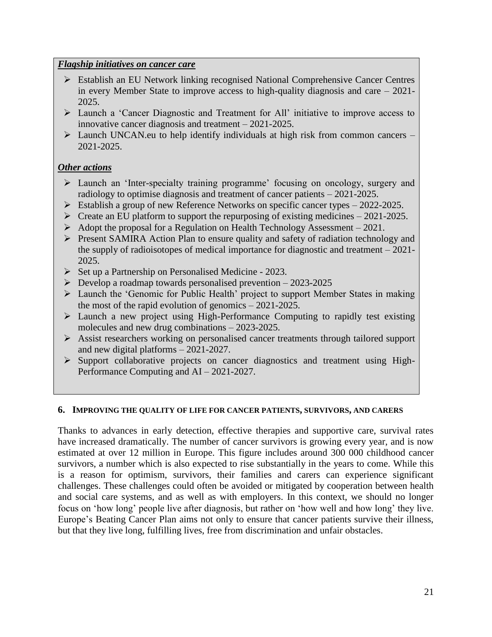### *Flagship initiatives on cancer care*

- Establish an EU Network linking recognised National Comprehensive Cancer Centres in every Member State to improve access to high-quality diagnosis and care – 2021- 2025.
- $\triangleright$  Launch a 'Cancer Diagnostic and Treatment for All' initiative to improve access to innovative cancer diagnosis and treatment – 2021-2025.
- $\triangleright$  Launch UNCAN.eu to help identify individuals at high risk from common cancers 2021-2025.

# *Other actions*

- $\triangleright$  Launch an 'Inter-specialty training programme' focusing on oncology, surgery and radiology to optimise diagnosis and treatment of cancer patients – 2021-2025.
- $\triangleright$  Establish a group of new Reference Networks on specific cancer types 2022-2025.
- $\triangleright$  Create an EU platform to support the repurposing of existing medicines 2021-2025.
- $\triangleright$  Adopt the proposal for a Regulation on Health Technology Assessment 2021.
- Present SAMIRA Action Plan to ensure quality and safety of radiation technology and the supply of radioisotopes of medical importance for diagnostic and treatment – 2021- 2025.
- $\triangleright$  Set up a Partnership on Personalised Medicine 2023.
- $\triangleright$  Develop a roadmap towards personalised prevention 2023-2025
- Launch the 'Genomic for Public Health' project to support Member States in making the most of the rapid evolution of genomics – 2021-2025.
- Launch a new project using High-Performance Computing to rapidly test existing molecules and new drug combinations – 2023-2025.
- Assist researchers working on personalised cancer treatments through tailored support and new digital platforms – 2021-2027.
- $\triangleright$  Support collaborative projects on cancer diagnostics and treatment using High-Performance Computing and AI – 2021-2027.

### <span id="page-21-0"></span>**6. IMPROVING THE QUALITY OF LIFE FOR CANCER PATIENTS, SURVIVORS, AND CARERS**

Thanks to advances in early detection, effective therapies and supportive care, survival rates have increased dramatically. The number of cancer survivors is growing every year, and is now estimated at over 12 million in Europe. This figure includes around 300 000 childhood cancer survivors, a number which is also expected to rise substantially in the years to come. While this is a reason for optimism, survivors, their families and carers can experience significant challenges. These challenges could often be avoided or mitigated by cooperation between health and social care systems, and as well as with employers. In this context, we should no longer focus on 'how long' people live after diagnosis, but rather on 'how well and how long' they live. Europe's Beating Cancer Plan aims not only to ensure that cancer patients survive their illness, but that they live long, fulfilling lives, free from discrimination and unfair obstacles.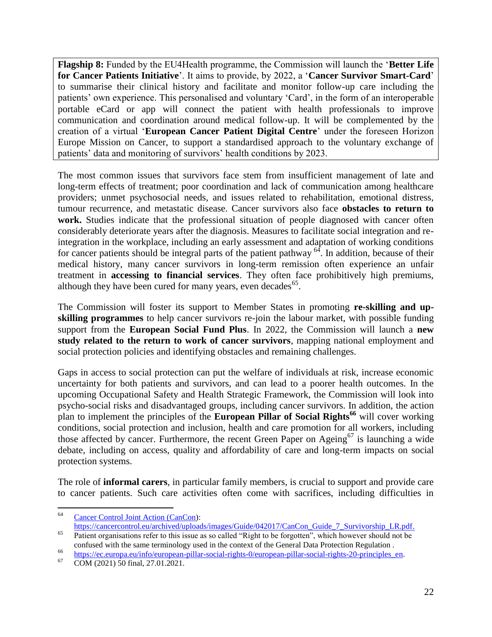**Flagship 8:** Funded by the EU4Health programme, the Commission will launch the '**Better Life for Cancer Patients Initiative**'. It aims to provide, by 2022, a '**Cancer Survivor Smart-Card**' to summarise their clinical history and facilitate and monitor follow-up care including the patients' own experience. This personalised and voluntary 'Card', in the form of an interoperable portable eCard or app will connect the patient with health professionals to improve communication and coordination around medical follow-up. It will be complemented by the creation of a virtual '**European Cancer Patient Digital Centre**' under the foreseen Horizon Europe Mission on Cancer, to support a standardised approach to the voluntary exchange of patients' data and monitoring of survivors' health conditions by 2023.

The most common issues that survivors face stem from insufficient management of late and long-term effects of treatment; poor coordination and lack of communication among healthcare providers; unmet psychosocial needs, and issues related to rehabilitation, emotional distress, tumour recurrence, and metastatic disease. Cancer survivors also face **obstacles to return to work.** Studies indicate that the professional situation of people diagnosed with cancer often considerably deteriorate years after the diagnosis. Measures to facilitate social integration and reintegration in the workplace, including an early assessment and adaptation of working conditions for cancer patients should be integral parts of the patient pathway  $64$ . In addition, because of their medical history, many cancer survivors in long-term remission often experience an unfair treatment in **accessing to financial services**. They often face prohibitively high premiums, although they have been cured for many years, even decades $^{65}$ .

The Commission will foster its support to Member States in promoting **re-skilling and upskilling programmes** to help cancer survivors re-join the labour market, with possible funding support from the **European Social Fund Plus**. In 2022, the Commission will launch a **new study related to the return to work of cancer survivors**, mapping national employment and social protection policies and identifying obstacles and remaining challenges.

Gaps in access to social protection can put the welfare of individuals at risk, increase economic uncertainty for both patients and survivors, and can lead to a poorer health outcomes. In the upcoming Occupational Safety and Health Strategic Framework, the Commission will look into psycho-social risks and disadvantaged groups, including cancer survivors. In addition, the action plan to implement the principles of the **European Pillar of Social Rights<sup>66</sup>** will cover working conditions, social protection and inclusion, health and care promotion for all workers, including those affected by cancer. Furthermore, the recent Green Paper on Ageing<sup>67</sup> is launching a wide debate, including on access, quality and affordability of care and long-term impacts on social protection systems.

The role of **informal carers**, in particular family members, is crucial to support and provide care to cancer patients. Such care activities often come with sacrifices, including difficulties in

 $\overline{a}$ 

<sup>64</sup> [Cancer Control Joint Action \(CanCon\)](https://cancercontrol.eu/archived/):

[https://cancercontrol.eu/archived/uploads/images/Guide/042017/CanCon\\_Guide\\_7\\_Survivorship\\_LR.pdf.](https://cancercontrol.eu/archived/uploads/images/Guide/042017/CanCon_Guide_7_Survivorship_LR.pdf) <sup>65</sup> Patient organisations refer to this issue as so called "Right to be forgotten", which however should not be

confused with the same terminology used in the context of the General Data Protection Regulation .

<sup>66</sup> [https://ec.europa.eu/info/european-pillar-social-rights-0/european-pillar-social-rights-20-principles\\_en.](https://ec.europa.eu/info/european-pillar-social-rights-0/european-pillar-social-rights-20-principles_en)<br>67 0001 0001 0001 0001 0001

<sup>67</sup> COM (2021) 50 final, 27.01.2021.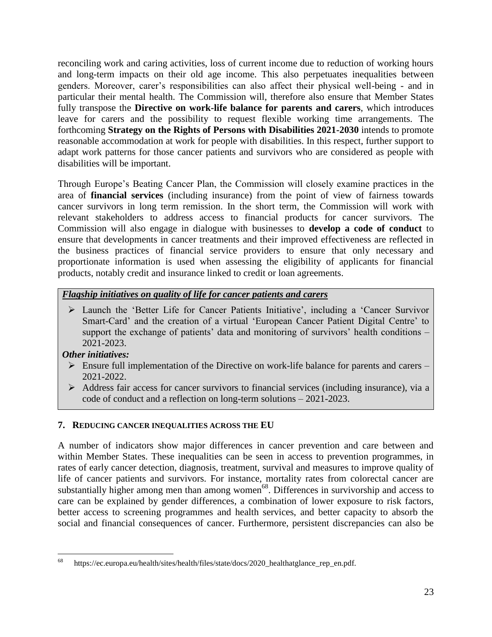reconciling work and caring activities, loss of current income due to reduction of working hours and long-term impacts on their old age income. This also perpetuates inequalities between genders. Moreover, carer's responsibilities can also affect their physical well-being - and in particular their mental health. The Commission will, therefore also ensure that Member States fully transpose the **Directive on work-life balance for parents and carers**, which introduces leave for carers and the possibility to request flexible working time arrangements. The forthcoming **Strategy on the Rights of Persons with Disabilities 2021-2030** intends to promote reasonable accommodation at work for people with disabilities. In this respect, further support to adapt work patterns for those cancer patients and survivors who are considered as people with disabilities will be important.

Through Europe's Beating Cancer Plan, the Commission will closely examine practices in the area of **financial services** (including insurance) from the point of view of fairness towards cancer survivors in long term remission. In the short term, the Commission will work with relevant stakeholders to address access to financial products for cancer survivors. The Commission will also engage in dialogue with businesses to **develop a code of conduct** to ensure that developments in cancer treatments and their improved effectiveness are reflected in the business practices of financial service providers to ensure that only necessary and proportionate information is used when assessing the eligibility of applicants for financial products, notably credit and insurance linked to credit or loan agreements.

### *Flagship initiatives on quality of life for cancer patients and carers*

 Launch the 'Better Life for Cancer Patients Initiative', including a 'Cancer Survivor Smart-Card' and the creation of a virtual 'European Cancer Patient Digital Centre' to support the exchange of patients' data and monitoring of survivors' health conditions – 2021-2023.

### *Other initiatives:*

- $\triangleright$  Ensure full implementation of the Directive on work-life balance for parents and carers 2021-2022.
- $\triangleright$  Address fair access for cancer survivors to financial services (including insurance), via a code of conduct and a reflection on long-term solutions – 2021-2023.

### <span id="page-23-0"></span>**7. REDUCING CANCER INEQUALITIES ACROSS THE EU**

A number of indicators show major differences in cancer prevention and care between and within Member States. These inequalities can be seen in access to prevention programmes, in rates of early cancer detection, diagnosis, treatment, survival and measures to improve quality of life of cancer patients and survivors. For instance, mortality rates from colorectal cancer are substantially higher among men than among women<sup>68</sup>. Differences in survivorship and access to care can be explained by gender differences, a combination of lower exposure to risk factors, better access to screening programmes and health services, and better capacity to absorb the social and financial consequences of cancer. Furthermore, persistent discrepancies can also be

<sup>68</sup> https://ec.europa.eu/health/sites/health/files/state/docs/2020\_healthatglance\_rep\_en.pdf.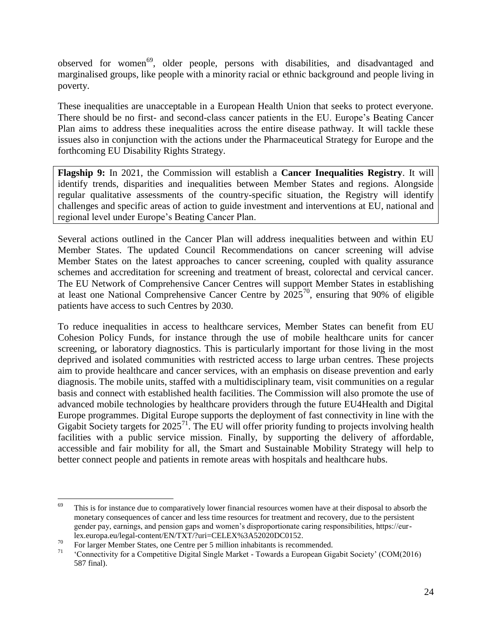observed for women<sup>69</sup>, older people, persons with disabilities, and disadvantaged and marginalised groups, like people with a minority racial or ethnic background and people living in poverty.

These inequalities are unacceptable in a European Health Union that seeks to protect everyone. There should be no first- and second-class cancer patients in the EU. Europe's Beating Cancer Plan aims to address these inequalities across the entire disease pathway. It will tackle these issues also in conjunction with the actions under the Pharmaceutical Strategy for Europe and the forthcoming EU Disability Rights Strategy.

**Flagship 9:** In 2021, the Commission will establish a **Cancer Inequalities Registry**. It will identify trends, disparities and inequalities between Member States and regions. Alongside regular qualitative assessments of the country-specific situation, the Registry will identify challenges and specific areas of action to guide investment and interventions at EU, national and regional level under Europe's Beating Cancer Plan.

Several actions outlined in the Cancer Plan will address inequalities between and within EU Member States. The updated Council Recommendations on cancer screening will advise Member States on the latest approaches to cancer screening, coupled with quality assurance schemes and accreditation for screening and treatment of breast, colorectal and cervical cancer. The EU Network of Comprehensive Cancer Centres will support Member States in establishing at least one National Comprehensive Cancer Centre by  $2025^{70}$ , ensuring that 90% of eligible patients have access to such Centres by 2030.

To reduce inequalities in access to healthcare services, Member States can benefit from EU Cohesion Policy Funds, for instance through the use of mobile healthcare units for cancer screening, or laboratory diagnostics. This is particularly important for those living in the most deprived and isolated communities with restricted access to large urban centres. These projects aim to provide healthcare and cancer services, with an emphasis on disease prevention and early diagnosis. The mobile units, staffed with a multidisciplinary team, visit communities on a regular basis and connect with established health facilities. The Commission will also promote the use of advanced mobile technologies by healthcare providers through the future EU4Health and Digital Europe programmes. Digital Europe supports the deployment of fast connectivity in line with the Gigabit Society targets for  $2025^{71}$ . The EU will offer priority funding to projects involving health facilities with a public service mission. Finally, by supporting the delivery of affordable, accessible and fair mobility for all, the Smart and Sustainable Mobility Strategy will help to better connect people and patients in remote areas with hospitals and healthcare hubs.

<sup>69</sup> This is for instance due to comparatively lower financial resources women have at their disposal to absorb the monetary consequences of cancer and less time resources for treatment and recovery, due to the persistent gender pay, earnings, and pension gaps and women's disproportionate caring responsibilities, https://eurlex.europa.eu/legal-content/EN/TXT/?uri=CELEX%3A52020DC0152.

<sup>&</sup>lt;sup>70</sup> For larger Member States, one Centre per 5 million inhabitants is recommended.

<sup>71</sup> 'Connectivity for a Competitive Digital Single Market - Towards a European Gigabit Society' (COM(2016) 587 final).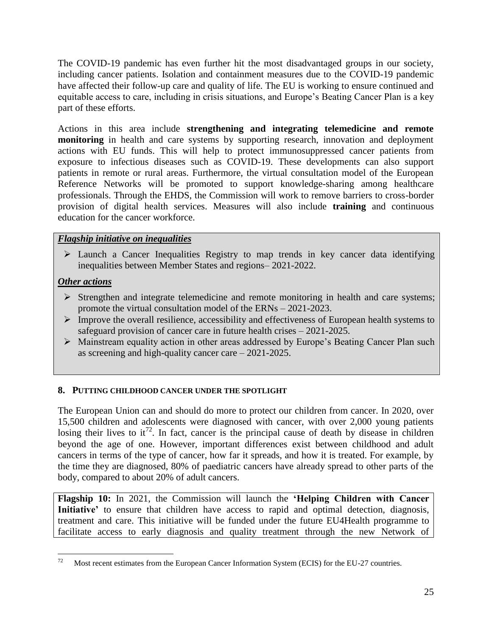The COVID-19 pandemic has even further hit the most disadvantaged groups in our society, including cancer patients. Isolation and containment measures due to the COVID-19 pandemic have affected their follow-up care and quality of life. The EU is working to ensure continued and equitable access to care, including in crisis situations, and Europe's Beating Cancer Plan is a key part of these efforts.

Actions in this area include **strengthening and integrating telemedicine and remote monitoring** in health and care systems by supporting research, innovation and deployment actions with EU funds. This will help to protect immunosuppressed cancer patients from exposure to infectious diseases such as COVID-19. These developments can also support patients in remote or rural areas. Furthermore, the virtual consultation model of the European Reference Networks will be promoted to support knowledge-sharing among healthcare professionals. Through the EHDS, the Commission will work to remove barriers to cross-border provision of digital health services. Measures will also include **training** and continuous education for the cancer workforce.

### *Flagship initiative on inequalities*

 Launch a Cancer Inequalities Registry to map trends in key cancer data identifying inequalities between Member States and regions– 2021-2022.

### *Other actions*

- $\triangleright$  Strengthen and integrate telemedicine and remote monitoring in health and care systems; promote the virtual consultation model of the ERNs – 2021-2023.
- $\triangleright$  Improve the overall resilience, accessibility and effectiveness of European health systems to safeguard provision of cancer care in future health crises – 2021-2025.
- Mainstream equality action in other areas addressed by Europe's Beating Cancer Plan such as screening and high-quality cancer care – 2021-2025.

### <span id="page-25-0"></span>**8. PUTTING CHILDHOOD CANCER UNDER THE SPOTLIGHT**

The European Union can and should do more to protect our children from cancer. In 2020, over 15,500 children and adolescents were diagnosed with cancer, with over 2,000 young patients losing their lives to it<sup>72</sup>. In fact, cancer is the principal cause of death by disease in children beyond the age of one. However, important differences exist between childhood and adult cancers in terms of the type of cancer, how far it spreads, and how it is treated. For example, by the time they are diagnosed, 80% of paediatric cancers have already spread to other parts of the body, compared to about 20% of adult cancers.

**Flagship 10:** In 2021, the Commission will launch the **'Helping Children with Cancer Initiative'** to ensure that children have access to rapid and optimal detection, diagnosis, treatment and care. This initiative will be funded under the future EU4Health programme to facilitate access to early diagnosis and quality treatment through the new Network of

<sup>72</sup> <sup>72</sup> Most recent estimates from the European Cancer Information System (ECIS) for the EU-27 countries.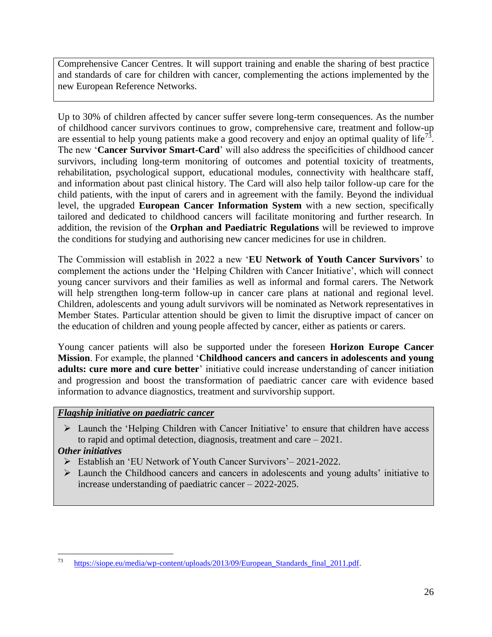Comprehensive Cancer Centres. It will support training and enable the sharing of best practice and standards of care for children with cancer, complementing the actions implemented by the new European Reference Networks.

Up to 30% of children affected by cancer suffer severe long-term consequences. As the number of childhood cancer survivors continues to grow, comprehensive care, treatment and follow-up are essential to help young patients make a good recovery and enjoy an optimal quality of life<sup>73</sup>. The new '**Cancer Survivor Smart-Card**' will also address the specificities of childhood cancer survivors, including long-term monitoring of outcomes and potential toxicity of treatments, rehabilitation, psychological support, educational modules, connectivity with healthcare staff, and information about past clinical history. The Card will also help tailor follow-up care for the child patients, with the input of carers and in agreement with the family. Beyond the individual level, the upgraded **European Cancer Information System** with a new section, specifically tailored and dedicated to childhood cancers will facilitate monitoring and further research. In addition, the revision of the **Orphan and Paediatric Regulations** will be reviewed to improve the conditions for studying and authorising new cancer medicines for use in children.

The Commission will establish in 2022 a new '**EU Network of Youth Cancer Survivors**' to complement the actions under the 'Helping Children with Cancer Initiative', which will connect young cancer survivors and their families as well as informal and formal carers. The Network will help strengthen long-term follow-up in cancer care plans at national and regional level. Children, adolescents and young adult survivors will be nominated as Network representatives in Member States. Particular attention should be given to limit the disruptive impact of cancer on the education of children and young people affected by cancer, either as patients or carers.

Young cancer patients will also be supported under the foreseen **Horizon Europe Cancer Mission**. For example, the planned '**Childhood cancers and cancers in adolescents and young adults: cure more and cure better**' initiative could increase understanding of cancer initiation and progression and boost the transformation of paediatric cancer care with evidence based information to advance diagnostics, treatment and survivorship support.

# *Flagship initiative on paediatric cancer*

 $\triangleright$  Launch the 'Helping Children with Cancer Initiative' to ensure that children have access to rapid and optimal detection, diagnosis, treatment and care – 2021.

# *Other initiatives*

- Establish an 'EU Network of Youth Cancer Survivors'– 2021-2022.
- Launch the Childhood cancers and cancers in adolescents and young adults' initiative to increase understanding of paediatric cancer – 2022-2025.

<sup>73</sup> <sup>73</sup> [https://siope.eu/media/wp-content/uploads/2013/09/European\\_Standards\\_final\\_2011.pdf.](https://siope.eu/media/wp-content/uploads/2013/09/European_Standards_final_2011.pdf)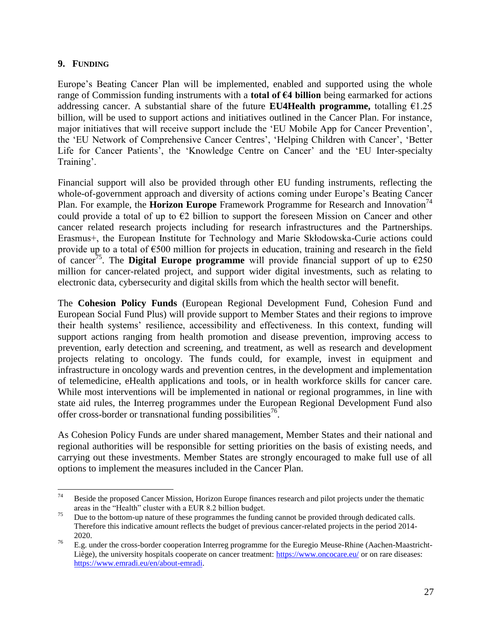### <span id="page-27-0"></span>**9. FUNDING**

Europe's Beating Cancer Plan will be implemented, enabled and supported using the whole range of Commission funding instruments with a **total of €4 billion** being earmarked for actions addressing cancer. A substantial share of the future **EU4Health programme**, totalling  $€1.25$ billion, will be used to support actions and initiatives outlined in the Cancer Plan. For instance, major initiatives that will receive support include the 'EU Mobile App for Cancer Prevention', the 'EU Network of Comprehensive Cancer Centres', 'Helping Children with Cancer', 'Better Life for Cancer Patients', the 'Knowledge Centre on Cancer' and the 'EU Inter-specialty Training'.

Financial support will also be provided through other EU funding instruments, reflecting the whole-of-government approach and diversity of actions coming under Europe's Beating Cancer Plan. For example, the **Horizon Europe** Framework Programme for Research and Innovation<sup>74</sup> could provide a total of up to  $\epsilon$ 2 billion to support the foreseen Mission on Cancer and other cancer related research projects including for research infrastructures and the Partnerships. Erasmus+, the European Institute for Technology and Marie Skłodowska-Curie actions could provide up to a total of €500 million for projects in education, training and research in the field of cancer<sup>75</sup>. The **Digital Europe programme** will provide financial support of up to  $\epsilon$ 250 million for cancer-related project, and support wider digital investments, such as relating to electronic data, cybersecurity and digital skills from which the health sector will benefit.

The **Cohesion Policy Funds** (European Regional Development Fund, Cohesion Fund and European Social Fund Plus) will provide support to Member States and their regions to improve their health systems' resilience, accessibility and effectiveness. In this context, funding will support actions ranging from health promotion and disease prevention, improving access to prevention, early detection and screening, and treatment, as well as research and development projects relating to oncology. The funds could, for example, invest in equipment and infrastructure in oncology wards and prevention centres, in the development and implementation of telemedicine, eHealth applications and tools, or in health workforce skills for cancer care. While most interventions will be implemented in national or regional programmes, in line with state aid rules, the Interreg programmes under the European Regional Development Fund also offer cross-border or transnational funding possibilities<sup>76</sup>.

As Cohesion Policy Funds are under shared management, Member States and their national and regional authorities will be responsible for setting priorities on the basis of existing needs, and carrying out these investments. Member States are strongly encouraged to make full use of all options to implement the measures included in the Cancer Plan.

<sup>74</sup> <sup>74</sup> Beside the proposed Cancer Mission, Horizon Europe finances research and pilot projects under the thematic areas in the "Health" cluster with a EUR 8.2 billion budget.

<sup>&</sup>lt;sup>75</sup> Due to the bottom-up nature of these programmes the funding cannot be provided through dedicated calls. Therefore this indicative amount reflects the budget of previous cancer-related projects in the period 2014- 2020.

<sup>&</sup>lt;sup>76</sup> E.g. under the cross-border cooperation Interreg programme for the Euregio Meuse-Rhine (Aachen-MaastrichtLiège), the university hospitals cooperate on cancer treatment:<https://www.oncocare.eu/> or on rare diseases: [https://www.emradi.eu/en/about-emradi.](https://www.emradi.eu/en/about-emradi)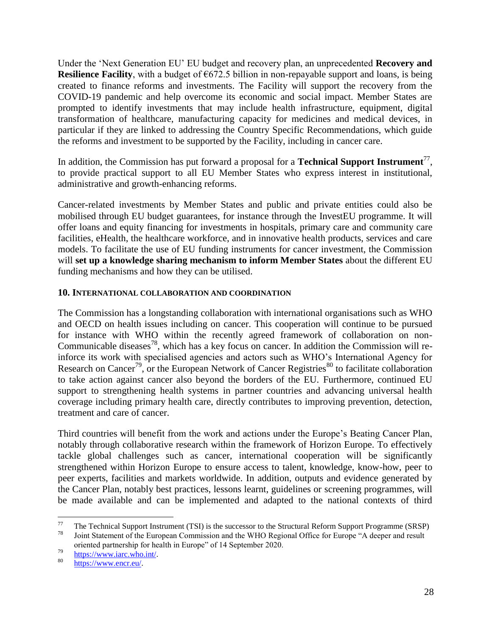Under the 'Next Generation EU' EU budget and recovery plan, an unprecedented **Recovery and Resilience Facility**, with a budget of  $\epsilon$ 672.5 billion in non-repayable support and loans, is being created to finance reforms and investments. The Facility will support the recovery from the COVID-19 pandemic and help overcome its economic and social impact. Member States are prompted to identify investments that may include health infrastructure, equipment, digital transformation of healthcare, manufacturing capacity for medicines and medical devices, in particular if they are linked to addressing the Country Specific Recommendations, which guide the reforms and investment to be supported by the Facility, including in cancer care.

In addition, the Commission has put forward a proposal for a **Technical Support Instrument**<sup>77</sup>, to provide practical support to all EU Member States who express interest in institutional, administrative and growth-enhancing reforms.

Cancer-related investments by Member States and public and private entities could also be mobilised through EU budget guarantees, for instance through the InvestEU programme. It will offer loans and equity financing for investments in hospitals, primary care and community care facilities, eHealth, the healthcare workforce, and in innovative health products, services and care models. To facilitate the use of EU funding instruments for cancer investment, the Commission will **set up a knowledge sharing mechanism to inform Member States** about the different EU funding mechanisms and how they can be utilised.

### <span id="page-28-0"></span>**10. INTERNATIONAL COLLABORATION AND COORDINATION**

The Commission has a longstanding collaboration with international organisations such as WHO and OECD on health issues including on cancer. This cooperation will continue to be pursued for instance with WHO within the recently agreed framework of collaboration on non-Communicable diseases<sup>78</sup>, which has a key focus on cancer. In addition the Commission will reinforce its work with specialised agencies and actors such as WHO's International Agency for Research on Cancer<sup>79</sup>, or the European Network of Cancer Registries<sup>80</sup> to facilitate collaboration to take action against cancer also beyond the borders of the EU. Furthermore, continued EU support to strengthening health systems in partner countries and advancing universal health coverage including primary health care, directly contributes to improving prevention, detection, treatment and care of cancer.

Third countries will benefit from the work and actions under the Europe's Beating Cancer Plan, notably through collaborative research within the framework of Horizon Europe. To effectively tackle global challenges such as cancer, international cooperation will be significantly strengthened within Horizon Europe to ensure access to talent, knowledge, know-how, peer to peer experts, facilities and markets worldwide. In addition, outputs and evidence generated by the Cancer Plan, notably best practices, lessons learnt, guidelines or screening programmes, will be made available and can be implemented and adapted to the national contexts of third

 $\overline{a}$ 

 $^{77}$  The Technical Support Instrument (TSI) is the successor to the Structural Reform Support Programme (SRSP) Joint Statement of the European Commission and the WHO Regional Office for Europe "A deeper and result oriented partnership for health in Europe" of 14 September 2020.

 $^{79}$  [https://www.iarc.who.int/.](https://www.iarc.who.int/)

[https://www.encr.eu/.](https://www.encr.eu/)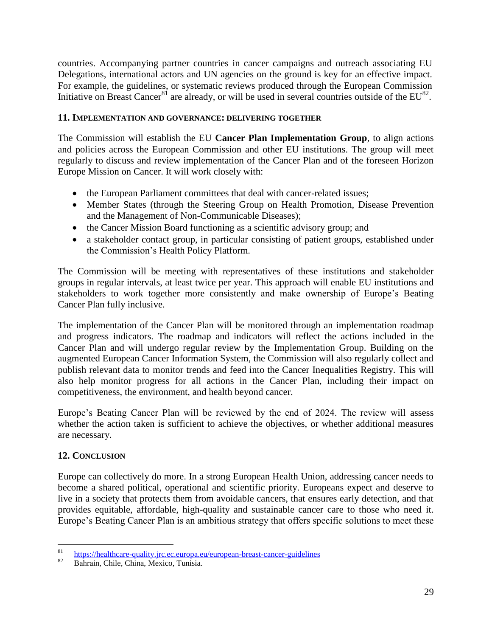countries. Accompanying partner countries in cancer campaigns and outreach associating EU Delegations, international actors and UN agencies on the ground is key for an effective impact. For example, the guidelines, or systematic reviews produced through the European Commission Initiative on Breast Cancer<sup>81</sup> are already, or will be used in several countries outside of the  $EU^{82}$ .

### <span id="page-29-0"></span>**11. IMPLEMENTATION AND GOVERNANCE: DELIVERING TOGETHER**

The Commission will establish the EU **Cancer Plan Implementation Group**, to align actions and policies across the European Commission and other EU institutions. The group will meet regularly to discuss and review implementation of the Cancer Plan and of the foreseen Horizon Europe Mission on Cancer. It will work closely with:

- the European Parliament committees that deal with cancer-related issues;
- Member States (through the Steering Group on Health Promotion, Disease Prevention and the Management of Non-Communicable Diseases);
- the Cancer Mission Board functioning as a scientific advisory group; and
- a stakeholder contact group, in particular consisting of patient groups, established under the Commission's Health Policy Platform.

The Commission will be meeting with representatives of these institutions and stakeholder groups in regular intervals, at least twice per year. This approach will enable EU institutions and stakeholders to work together more consistently and make ownership of Europe's Beating Cancer Plan fully inclusive.

The implementation of the Cancer Plan will be monitored through an implementation roadmap and progress indicators. The roadmap and indicators will reflect the actions included in the Cancer Plan and will undergo regular review by the Implementation Group. Building on the augmented European Cancer Information System, the Commission will also regularly collect and publish relevant data to monitor trends and feed into the Cancer Inequalities Registry. This will also help monitor progress for all actions in the Cancer Plan, including their impact on competitiveness, the environment, and health beyond cancer.

Europe's Beating Cancer Plan will be reviewed by the end of 2024. The review will assess whether the action taken is sufficient to achieve the objectives, or whether additional measures are necessary.

### <span id="page-29-1"></span>**12. CONCLUSION**

Europe can collectively do more. In a strong European Health Union, addressing cancer needs to become a shared political, operational and scientific priority. Europeans expect and deserve to live in a society that protects them from avoidable cancers, that ensures early detection, and that provides equitable, affordable, high-quality and sustainable cancer care to those who need it. Europe's Beating Cancer Plan is an ambitious strategy that offers specific solutions to meet these

<sup>81</sup> <sup>81</sup> <https://healthcare-quality.jrc.ec.europa.eu/european-breast-cancer-guidelines>

Bahrain, Chile, China, Mexico, Tunisia.